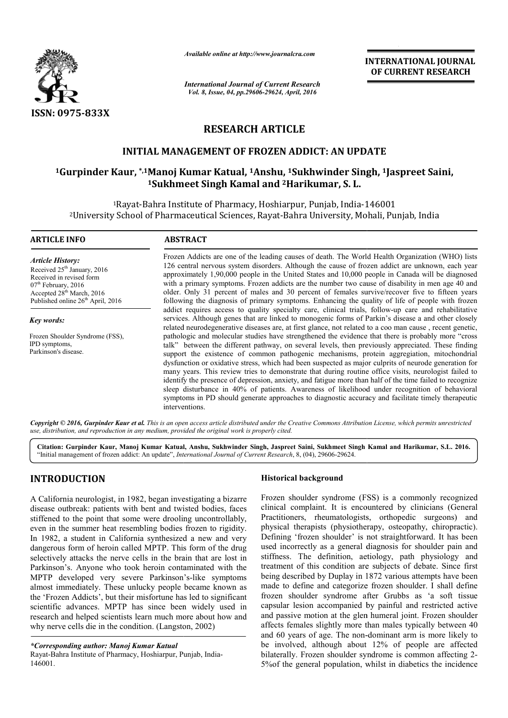

*Available online at http://www.journalcra.com*

*International Journal of Current Research Vol. 8, Issue, 04, pp.29606-29624, April, 2016*

**INTERNATIONAL JOURNAL OF CURRENT RESEARCH** 

# **RESEARCH ARTICLE**

# **INITIAL MANAGEMENT OF FROZEN ADDICT: AN UPDATE**

# <sup>1</sup>Gurpinder Kaur, \*,<sup>1</sup>Manoj Kumar Katual, <sup>1</sup>Anshu, <sup>1</sup>Sukhwinder Singh, <sup>1</sup>Jaspreet Saini, **1Sukhmeet Singh Kamal and meet 2Harikumar, S. L.**

1Rayat-Bahra Institute of Pharmacy, Hoshiarpur, Punjab, India Bahra India-146001 2University School of Pharmaceutical Sciences, Rayat University Rayat-Bahra University, Mohali, Punjab, India 146001Bahra

#### **ARTICLE INFO ABSTRACT** Frozen Addicts are one of the leading causes of death. The World Health Organization (WHO) lists 126 central nervous system disorders. Although the cause of frozen addict are unknown, each year approxim approximately 1,90,000 people in the United States and 10,000 people in Canada will be diagnosed with a primary symptoms. Frozen addicts are the number two cause of disability in men age 40 and older. Only 31 percent of males and 30 percent of females survive/recover five to fifteen years following the diagnosis of primary symptoms. Enhancing the quality of life of people with frozen following the diagnosis of primary symptoms. Enhancing the quality of life of people with frozen addict requires access to quality specialty care, clinical trials, follow-up care and rehabilitative services. Although genes that are linked to monogenic forms of Parkin's disease a and other closely related neurodegenerative diseases are, at first glance, not related to a coo man cause , recent genetic, services. Although genes that are linked to monogenic forms of Parkin's disease a and other closely related neurodegenerative diseases are, at first glance, not related to a coo man cause, recent genetic, pathologic and mo talk" between the different pathway, on several levels, then previously appreciated. These finding support the existence of common pathogenic mechanisms, protein aggregiation, mitochondrial dysfunction or oxidative stress, which had been suspected as major culprits of neurode generation for many years. This review tries to demonstrate that during routine office visits, neurologist failed to identify the presence of depression, anxiety, and fatigue more than half of the time failed to recognize sleep disturbance in 40% of patients. Awareness of likelihood under recognition of behavioral sleep disturbance in 40% of patients. Awareness of likelihood under recognition of behavioral symptoms in PD should generate approaches to diagnostic accuracy and facilitate timely therapeutic *Article History:* Received 25<sup>th</sup> January, 2016 Received in revised form 07<sup>th</sup> February, 2016 Accepted 28<sup>th</sup> March, 2016 Published online 26<sup>th</sup> April, 2016 *Key words:* Frozen Shoulder Syndrome (FSS), IPD symptoms, Parkinson's disease.  $\overline{a}$ Frozen Addicts are one of the leading causes of death. The World Health Organization (WHO) lists 126 central nervous system disorders. Although the cause of frozen addict are unknown, each year approximately 1,90,000 peopl talk" between the different pathway, on several levels, then previously appreciated. These finding support the existence of common pathogenic mechanisms, protein aggregiation, mitochondrial dysfunction or oxidative stress,

*Copyright © 2016, Gurpinder Kaur et al. This is an open access article distributed under the Creative Commons Att Attribution License, which ribution permits unrestricted use, distribution, and reproduction in any medium, provided the original work is properly cited.*

interventions.

**Citation: Gurpinder Kaur, Manoj Kumar Katual, Anshu, Sukhwinder Singh, Jaspreet Saini, Suk Sukhmeet Singh Kamal and Harikumar, S.L. meet Singh S.L. 2016.**"Initial management of frozen addict: An update", *International Journal of Current Research* , 8, (04), 29606-29624.

# **INTRODUCTION**

A California neurologist, in 1982, began investigating a bizarre disease outbreak: patients with bent and twisted bodies, faces stiffened to the point that some were drooling uncontrollably, even in the summer heat resembling bodies frozen to rigidity. In 1982, a student in California synthesized a new and very dangerous form of heroin called MPTP. This form of the drug selectively attacks the nerve cells in the brain that are lost in Parkinson's. Anyone who took heroin contaminated with the MPTP developed very severe Parkinson's Parkinson's-like symptoms almost immediately. These unlucky people became known as the 'Frozen Addicts', but their misfortune has led to significant scientific advances. MPTP has since been widely used in research and helped scientists learn much more about how and why nerve cells die in the condition. (Langston, 2002 ntific advances. MPTP has since been widely<br>arch and helped scientists learn much more about<br>preversion, 2002)

*\*Corresponding author: Manoj Kumar Katual*

# **Historical background**

Frozen shoulder syndrome (FSS) is a commonly recognized clinical complaint. It is encountered by clinicians (General Practitioners, rheumatologists, orthopedic surgeons) and physical therapists (physiotherapy, osteopathy, chiropractic). Defining 'frozen shoulder' is not straightforward. It has been used incorrectly as a general diagnosis for shoulder pain and stiffness. The definition, aetiology, path physiology and treatment of this condition are subjects of debate. Since first being described by Duplay in 1872 various attempts have been made to define and categorize frozen shoulder. I shall define frozen shoulder syndrome after Grubbs as 'a soft tissue capsular lesion accompanied by painful and restricted active and passive motion at the glen humeral joint. Frozen shoulder affects females slightly more than males typically between 40 affects females slightly more than males typically between 40 and 60 years of age. The non-dominant arm is more likely to be involved, although about 12% of people are affected bilaterally. Frozen shoulder syndrome is common affecting 2-5%of the general population, whilst in diabetics the incidence It complaint. It is encountered by clinicians (General<br>ioners, rheumatologists, orthopedic surgeons) and<br>al therapists (physiotherapy, osteopathy, chiropractic).<br>Ing 'frozen shoulder' is not straightforward. It has been<br>ne INTERNATIONAL JOURNAL CONTRIBUTE INTERNATIONAL JOURNAL CONTRIBUTE CONTRIBUTE CONTRIBUTE CONTRIBUTE CONTRIBUTE CONTRIBUTE CONTRIBUTE CONTRIBUTE CONTRIBUTE CONTRIBUTE CONTRIBUTE CONTRIBUTE CONTRIBUTE CONTRIBUTE CONTRIBUTE C

Rayat-Bahra Institute of Pharmacy, Hoshiarpur, Punjab, India-146001.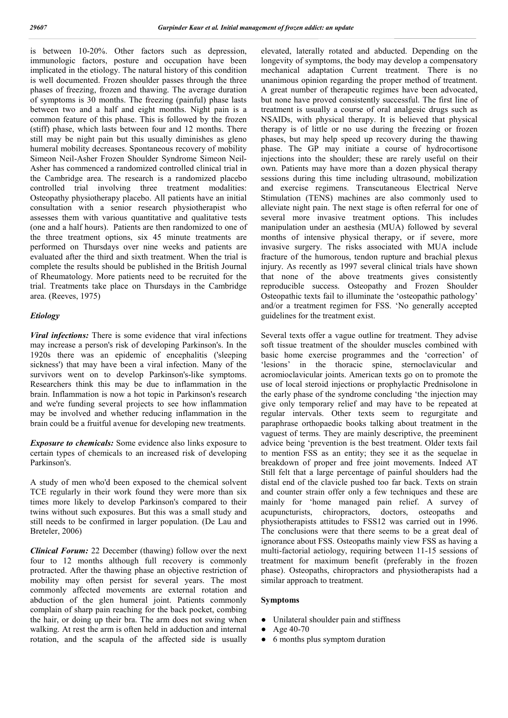is between 10-20%. Other factors such as depression, immunologic factors, posture and occupation have been implicated in the etiology. The natural history of this condition is well documented. Frozen shoulder passes through the three phases of freezing, frozen and thawing. The average duration of symptoms is 30 months. The freezing (painful) phase lasts between two and a half and eight months. Night pain is a common feature of this phase. This is followed by the frozen (stiff) phase, which lasts between four and 12 months. There still may be night pain but this usually diminishes as gleno humeral mobility decreases. Spontaneous recovery of mobility Simeon Neil-Asher Frozen Shoulder Syndrome Simeon Neil-Asher has commenced a randomized controlled clinical trial in the Cambridge area. The research is a randomized placebo controlled trial involving three treatment modalities: Osteopathy physiotherapy placebo. All patients have an initial consultation with a senior research physiotherapist who assesses them with various quantitative and qualitative tests (one and a half hours). Patients are then randomized to one of the three treatment options, six 45 minute treatments are performed on Thursdays over nine weeks and patients are evaluated after the third and sixth treatment. When the trial is complete the results should be published in the British Journal of Rheumatology. More patients need to be recruited for the trial. Treatments take place on Thursdays in the Cambridge area. (Reeves, 1975)

## *Etiology*

*Viral infections:* There is some evidence that viral infections may increase a person's risk of developing Parkinson's. In the 1920s there was an epidemic of encephalitis ('sleeping sickness') that may have been a viral infection. Many of the survivors went on to develop Parkinson's-like symptoms. Researchers think this may be due to inflammation in the brain. Inflammation is now a hot topic in Parkinson's research and we're funding several projects to see how inflammation may be involved and whether reducing inflammation in the brain could be a fruitful avenue for developing new treatments.

*Exposure to chemicals:* Some evidence also links exposure to certain types of chemicals to an increased risk of developing Parkinson's.

A study of men who'd been exposed to the chemical solvent TCE regularly in their work found they were more than six times more likely to develop Parkinson's compared to their twins without such exposures. But this was a small study and still needs to be confirmed in larger population. (De Lau and Breteler, 2006)

*Clinical Forum:* 22 December (thawing) follow over the next four to 12 months although full recovery is commonly protracted. After the thawing phase an objective restriction of mobility may often persist for several years. The most commonly affected movements are external rotation and abduction of the glen humeral joint. Patients commonly complain of sharp pain reaching for the back pocket, combing the hair, or doing up their bra. The arm does not swing when walking. At rest the arm is often held in adduction and internal rotation, and the scapula of the affected side is usually elevated, laterally rotated and abducted. Depending on the longevity of symptoms, the body may develop a compensatory mechanical adaptation Current treatment. There is no unanimous opinion regarding the proper method of treatment. A great number of therapeutic regimes have been advocated, but none have proved consistently successful. The first line of treatment is usually a course of oral analgesic drugs such as NSAIDs, with physical therapy. It is believed that physical therapy is of little or no use during the freezing or frozen phases, but may help speed up recovery during the thawing phase. The GP may initiate a course of hydrocortisone injections into the shoulder; these are rarely useful on their own. Patients may have more than a dozen physical therapy sessions during this time including ultrasound, mobilization and exercise regimens. Transcutaneous Electrical Nerve Stimulation (TENS) machines are also commonly used to alleviate night pain. The next stage is often referral for one of several more invasive treatment options. This includes manipulation under an aesthesia (MUA) followed by several months of intensive physical therapy, or if severe, more invasive surgery. The risks associated with MUA include fracture of the humorous, tendon rupture and brachial plexus injury. As recently as 1997 several clinical trials have shown that none of the above treatments gives consistently reproducible success. Osteopathy and Frozen Shoulder Osteopathic texts fail to illuminate the 'osteopathic pathology' and/or a treatment regimen for FSS. 'No generally accepted guidelines for the treatment exist.

Several texts offer a vague outline for treatment. They advise soft tissue treatment of the shoulder muscles combined with basic home exercise programmes and the 'correction' of 'lesions' in the thoracic spine, sternoclavicular and acromioclavicular joints. American texts go on to promote the use of local steroid injections or prophylactic Prednisolone in the early phase of the syndrome concluding 'the injection may give only temporary relief and may have to be repeated at regular intervals. Other texts seem to regurgitate and paraphrase orthopaedic books talking about treatment in the vaguest of terms. They are mainly descriptive, the preeminent advice being 'prevention is the best treatment. Older texts fail to mention FSS as an entity; they see it as the sequelae in breakdown of proper and free joint movements. Indeed AT Still felt that a large percentage of painful shoulders had the distal end of the clavicle pushed too far back. Texts on strain and counter strain offer only a few techniques and these are mainly for 'home managed pain relief. A survey of acupuncturists, chiropractors, doctors, osteopaths and physiotherapists attitudes to FSS12 was carried out in 1996. The conclusions were that there seems to be a great deal of ignorance about FSS. Osteopaths mainly view FSS as having a multi-factorial aetiology, requiring between 11-15 sessions of treatment for maximum benefit (preferably in the frozen phase). Osteopaths, chiropractors and physiotherapists had a similar approach to treatment.

## **Symptoms**

- Unilateral shoulder pain and stiffness
- Age  $40-70$
- 6 months plus symptom duration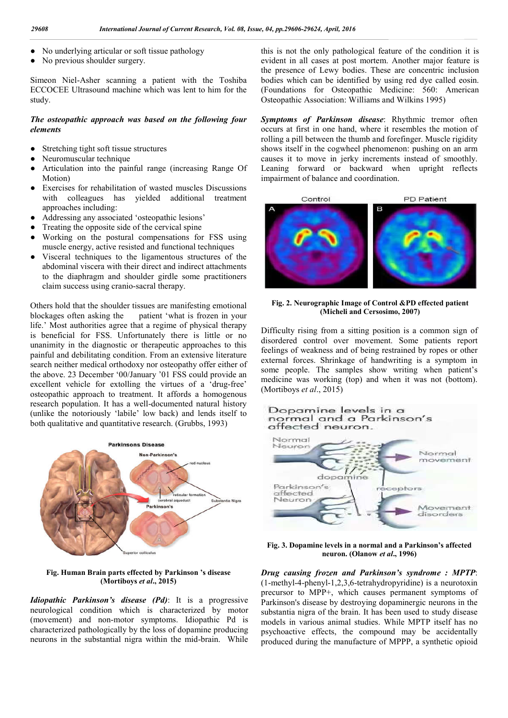- No underlying articular or soft tissue pathology
- No previous shoulder surgery.

Simeon Niel-Asher scanning a patient with the Toshiba ECCOCEE Ultrasound machine which was lent to him for the study.

### *The osteopathic approach was based on the following four elements*

- Stretching tight soft tissue structures
- Neuromuscular technique
- Articulation into the painful range (increasing Range Of Motion)
- Exercises for rehabilitation of wasted muscles Discussions with colleagues has yielded additional treatment approaches including:
- Addressing any associated 'osteopathic lesions'
- Treating the opposite side of the cervical spine
- Working on the postural compensations for FSS using muscle energy, active resisted and functional techniques
- Visceral techniques to the ligamentous structures of the abdominal viscera with their direct and indirect attachments to the diaphragm and shoulder girdle some practitioners claim success using cranio-sacral therapy.

Others hold that the shoulder tissues are manifesting emotional blockages often asking the patient 'what is frozen in your life.' Most authorities agree that a regime of physical therapy is beneficial for FSS. Unfortunately there is little or no unanimity in the diagnostic or therapeutic approaches to this painful and debilitating condition. From an extensive literature search neither medical orthodoxy nor osteopathy offer either of the above. 23 December '00/January '01 FSS could provide an excellent vehicle for extolling the virtues of a 'drug-free' osteopathic approach to treatment. It affords a homogenous research population. It has a well-documented natural history (unlike the notoriously 'labile' low back) and lends itself to both qualitative and quantitative research. (Grubbs, 1993)



**Fig. Human Brain parts effected by Parkinson 's disease (Mortiboys** *et al***., 2015)**

*Idiopathic Parkinson's disease (Pd)*: It is a progressive neurological condition which is characterized by motor (movement) and non-motor symptoms. Idiopathic Pd is characterized pathologically by the loss of dopamine producing neurons in the substantial nigra within the mid-brain. While this is not the only pathological feature of the condition it is evident in all cases at post mortem. Another major feature is the presence of Lewy bodies. These are concentric inclusion bodies which can be identified by using red dye called eosin. (Foundations for Osteopathic Medicine: 560: American Osteopathic Association: Williams and Wilkins 1995)

*Symptoms of Parkinson disease*: Rhythmic tremor often occurs at first in one hand, where it resembles the motion of rolling a pill between the thumb and forefinger. Muscle rigidity shows itself in the cogwheel phenomenon: pushing on an arm causes it to move in jerky increments instead of smoothly. Leaning forward or backward when upright reflects impairment of balance and coordination.



### **Fig. 2. Neurographic Image of Control &PD effected patient (Micheli and Cersosimo, 2007)**

Difficulty rising from a sitting position is a common sign of disordered control over movement. Some patients report feelings of weakness and of being restrained by ropes or other external forces. Shrinkage of handwriting is a symptom in some people. The samples show writing when patient's medicine was working (top) and when it was not (bottom). (Mortiboys *et al*., 2015)



**Fig. 3. Dopamine levels in a normal and a Parkinson's affected neuron. (Olanow** *et al***., 1996)**

*Drug causing frozen and Parkinson's syndrome : MPTP*: (1-methyl-4-phenyl-1,2,3,6-tetrahydropyridine) is a neurotoxin precursor to MPP+, which causes permanent symptoms of Parkinson's disease by destroying dopaminergic neurons in the substantia nigra of the brain. It has been used to study disease models in various animal studies. While MPTP itself has no psychoactive effects, the compound may be accidentally produced during the manufacture of MPPP, a synthetic opioid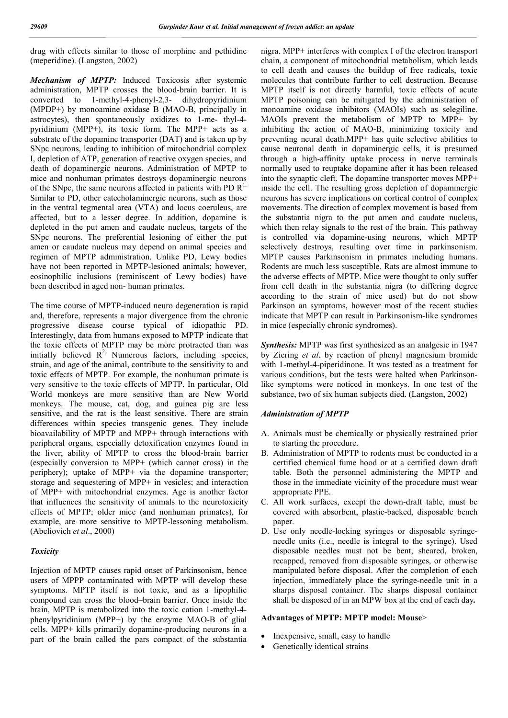drug with effects similar to those of morphine and pethidine (meperidine). (Langston, 2002)

*Mechanism of MPTP:* Induced Toxicosis after systemic administration, MPTP crosses the blood-brain barrier. It is converted to 1-methyl-4-phenyl-2,3- dihydropyridinium (MPDP+) by monoamine oxidase B (MAO-B, principally in astrocytes), then spontaneously oxidizes to 1-me- thyl-4 pyridinium (MPP+), its toxic form. The MPP+ acts as a substrate of the dopamine transporter (DAT) and is taken up by SNpc neurons, leading to inhibition of mitochondrial complex I, depletion of ATP, generation of reactive oxygen species, and death of dopaminergic neurons. Administration of MPTP to mice and nonhuman primates destroys dopaminergic neurons of the SNpc, the same neurons affected in patients with PD  $\mathbb{R}^1$ . Similar to PD, other catecholaminergic neurons, such as those in the ventral tegmental area (VTA) and locus coeruleus, are affected, but to a lesser degree. In addition, dopamine is depleted in the put amen and caudate nucleus, targets of the SNpc neurons. The preferential lesioning of either the put amen or caudate nucleus may depend on animal species and regimen of MPTP administration. Unlike PD, Lewy bodies have not been reported in MPTP-lesioned animals; however, eosinophilic inclusions (reminiscent of Lewy bodies) have been described in aged non- human primates.

The time course of MPTP-induced neuro degeneration is rapid and, therefore, represents a major divergence from the chronic progressive disease course typical of idiopathic PD. Interestingly, data from humans exposed to MPTP indicate that the toxic effects of MPTP may be more protracted than was initially believed  $R^2$ . Numerous factors, including species, strain, and age of the animal, contribute to the sensitivity to and toxic effects of MPTP. For example, the nonhuman primate is very sensitive to the toxic effects of MPTP. In particular, Old World monkeys are more sensitive than are New World monkeys. The mouse, cat, dog, and guinea pig are less sensitive, and the rat is the least sensitive. There are strain differences within species transgenic genes. They include bioavailability of MPTP and MPP+ through interactions with peripheral organs, especially detoxification enzymes found in the liver; ability of MPTP to cross the blood-brain barrier (especially conversion to MPP+ (which cannot cross) in the periphery); uptake of MPP+ via the dopamine transporter; storage and sequestering of MPP+ in vesicles; and interaction of MPP+ with mitochondrial enzymes. Age is another factor that influences the sensitivity of animals to the neurotoxicity effects of MPTP; older mice (and nonhuman primates), for example, are more sensitive to MPTP-lessoning metabolism. (Abeliovich *et al*., 2000)

### *Toxicity*

Injection of MPTP causes rapid onset of Parkinsonism, hence users of MPPP contaminated with MPTP will develop these symptoms. MPTP itself is not toxic, and as a lipophilic compound can cross the blood–brain barrier. Once inside the brain, MPTP is metabolized into the toxic cation 1-methyl-4 phenylpyridinium (MPP+) by the enzyme MAO-B of glial cells. MPP+ kills primarily dopamine-producing neurons in a part of the brain called the pars compact of the substantia nigra. MPP+ interferes with complex I of the electron transport chain, a component of mitochondrial metabolism, which leads to cell death and causes the buildup of free radicals, toxic molecules that contribute further to cell destruction. Because MPTP itself is not directly harmful, toxic effects of acute MPTP poisoning can be mitigated by the administration of monoamine oxidase inhibitors (MAOIs) such as selegiline. MAOIs prevent the metabolism of MPTP to MPP+ by inhibiting the action of MAO-B, minimizing toxicity and preventing neural death.MPP+ has quite selective abilities to cause neuronal death in dopaminergic cells, it is presumed through a high-affinity uptake process in nerve terminals normally used to reuptake dopamine after it has been released into the synaptic cleft. The dopamine transporter moves MPP+ inside the cell. The resulting gross depletion of dopaminergic neurons has severe implications on cortical control of complex movements. The direction of complex movement is based from the substantia nigra to the put amen and caudate nucleus, which then relay signals to the rest of the brain. This pathway is controlled via dopamine-using neurons, which MPTP selectively destroys, resulting over time in parkinsonism. MPTP causes Parkinsonism in primates including humans. Rodents are much less susceptible. Rats are almost immune to the adverse effects of MPTP. Mice were thought to only suffer from cell death in the substantia nigra (to differing degree according to the strain of mice used) but do not show Parkinson an symptoms, however most of the recent studies indicate that MPTP can result in Parkinsonism-like syndromes in mice (especially chronic syndromes).

*Synthesis:* MPTP was first synthesized as an analgesic in 1947 by Ziering *et al*. by reaction of phenyl magnesium bromide with 1-methyl-4-piperidinone. It was tested as a treatment for various conditions, but the tests were halted when Parkinsonlike symptoms were noticed in monkeys. In one test of the substance, two of six human subjects died. (Langston, 2002)

# *Administration of MPTP*

- A. Animals must be chemically or physically restrained prior to starting the procedure.
- B. Administration of MPTP to rodents must be conducted in a certified chemical fume hood or at a certified down draft table. Both the personnel administering the MPTP and those in the immediate vicinity of the procedure must wear appropriate PPE.
- C. All work surfaces, except the down-draft table, must be covered with absorbent, plastic-backed, disposable bench paper.
- D. Use only needle-locking syringes or disposable syringeneedle units (i.e., needle is integral to the syringe). Used disposable needles must not be bent, sheared, broken, recapped, removed from disposable syringes, or otherwise manipulated before disposal. After the completion of each injection, immediately place the syringe-needle unit in a sharps disposal container. The sharps disposal container shall be disposed of in an MPW box at the end of each day*.*

#### **Advantages of MPTP: MPTP model: Mouse**>

- Inexpensive, small, easy to handle
- Genetically identical strains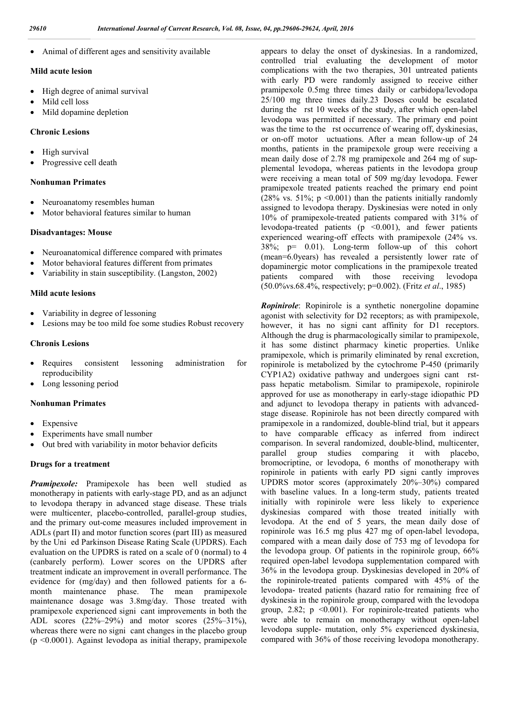Animal of different ages and sensitivity available

#### **Mild acute lesion**

- High degree of animal survival
- Mild cell loss
- Mild dopamine depletion

### **Chronic Lesions**

- High survival
- Progressive cell death

## **Nonhuman Primates**

- Neuroanatomy resembles human
- Motor behavioral features similar to human

#### **Disadvantages: Mouse**

- Neuroanatomical difference compared with primates
- Motor behavioral features different from primates
- Variability in stain susceptibility. (Langston, 2002)

#### **Mild acute lesions**

- Variability in degree of lessoning
- Lesions may be too mild foe some studies Robust recovery

#### **Chronis Lesions**

- Requires consistent lessoning administration for reproducibility
- Long lessoning period

#### **Nonhuman Primates**

- Expensive
- Experiments have small number
- Out bred with variability in motor behavior deficits

#### **Drugs for a treatment**

*Pramipexole:* Pramipexole has been well studied as monotherapy in patients with early-stage PD, and as an adjunct to levodopa therapy in advanced stage disease. These trials were multicenter, placebo-controlled, parallel-group studies, and the primary out-come measures included improvement in ADLs (part II) and motor function scores (part III) as measured by the Uni ed Parkinson Disease Rating Scale (UPDRS). Each evaluation on the UPDRS is rated on a scale of 0 (normal) to 4 (canbarely perform). Lower scores on the UPDRS after treatment indicate an improvement in overall performance. The evidence for (mg/day) and then followed patients for a 6 month maintenance phase. The mean pramipexole maintenance dosage was 3.8mg/day. Those treated with pramipexole experienced signi cant improvements in both the ADL scores  $(22\%-29\%)$  and motor scores  $(25\%-31\%)$ , whereas there were no signi cant changes in the placebo group (p <0.0001). Against levodopa as initial therapy, pramipexole

appears to delay the onset of dyskinesias. In a randomized, controlled trial evaluating the development of motor complications with the two therapies, 301 untreated patients with early PD were randomly assigned to receive either pramipexole 0.5mg three times daily or carbidopa/levodopa 25/100 mg three times daily.23 Doses could be escalated during the rst 10 weeks of the study, after which open-label levodopa was permitted if necessary. The primary end point was the time to the rst occurrence of wearing off, dyskinesias, or on-off motor uctuations. After a mean follow-up of 24 months, patients in the pramipexole group were receiving a mean daily dose of 2.78 mg pramipexole and 264 mg of supplemental levodopa, whereas patients in the levodopa group were receiving a mean total of 509 mg/day levodopa. Fewer pramipexole treated patients reached the primary end point (28% vs. 51%;  $p \le 0.001$ ) than the patients initially randomly assigned to levodopa therapy. Dyskinesias were noted in only 10% of pramipexole-treated patients compared with 31% of levodopa-treated patients ( $p \le 0.001$ ), and fewer patients experienced wearing-off effects with pramipexole (24% vs. 38%; p= 0.01). Long-term follow-up of this cohort (mean=6.0years) has revealed a persistently lower rate of dopaminergic motor complications in the pramipexole treated patients compared with those receiving levodopa (50.0%vs.68.4%, respectively; p=0.002). (Fritz *et al*., 1985)

*Ropinirole*: Ropinirole is a synthetic nonergoline dopamine agonist with selectivity for D2 receptors; as with pramipexole, however, it has no signi cant affinity for D1 receptors. Although the drug is pharmacologically similar to pramipexole, it has some distinct pharmacy kinetic properties. Unlike pramipexole, which is primarily eliminated by renal excretion, ropinirole is metabolized by the cytochrome P-450 (primarily CYP1A2) oxidative pathway and undergoes signi cant rstpass hepatic metabolism. Similar to pramipexole, ropinirole approved for use as monotherapy in early-stage idiopathic PD and adjunct to levodopa therapy in patients with advancedstage disease. Ropinirole has not been directly compared with pramipexole in a randomized, double-blind trial, but it appears to have comparable efficacy as inferred from indirect comparison. In several randomized, double-blind, multicenter, parallel group studies comparing it with placebo, bromocriptine, or levodopa, 6 months of monotherapy with ropinirole in patients with early PD signi cantly improves UPDRS motor scores (approximately 20%–30%) compared with baseline values. In a long-term study, patients treated initially with ropinirole were less likely to experience dyskinesias compared with those treated initially with levodopa. At the end of 5 years, the mean daily dose of ropinirole was 16.5 mg plus 427 mg of open-label levodopa, compared with a mean daily dose of 753 mg of levodopa for the levodopa group. Of patients in the ropinirole group, 66% required open-label levodopa supplementation compared with 36% in the levodopa group. Dyskinesias developed in 20% of the ropinirole-treated patients compared with 45% of the levodopa- treated patients (hazard ratio for remaining free of dyskinesia in the ropinirole group, compared with the levodopa group,  $2.82$ ;  $p \le 0.001$ ). For ropinirole-treated patients who were able to remain on monotherapy without open-label levodopa supple- mutation, only 5% experienced dyskinesia, compared with 36% of those receiving levodopa monotherapy.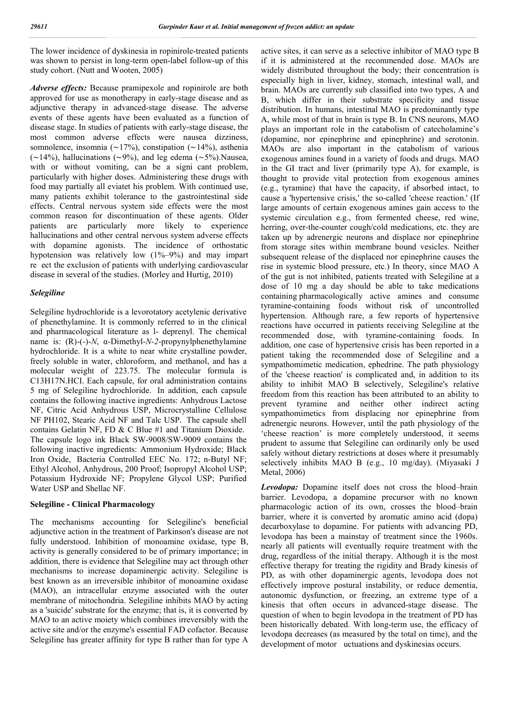The lower incidence of dyskinesia in ropinirole-treated patients was shown to persist in long-term open-label follow-up of this study cohort. (Nutt and Wooten, 2005)

*Adverse effects:* Because pramipexole and ropinirole are both approved for use as monotherapy in early-stage disease and as adjunctive therapy in advanced-stage disease. The adverse events of these agents have been evaluated as a function of disease stage. In studies of patients with early-stage disease, the most common adverse effects were nausea dizziness, somnolence, insomnia (∼17%), constipation (∼14%), asthenia (∼14%), hallucinations (∼9%), and leg edema (∼5%).Nausea, with or without vomiting, can be a signi cant problem, particularly with higher doses. Administering these drugs with food may partially all eviatet his problem. With continued use, many patients exhibit tolerance to the gastrointestinal side effects. Central nervous system side effects were the most common reason for discontinuation of these agents. Older patients are particularly more likely to experience hallucinations and other central nervous system adverse effects with dopamine agonists. The incidence of orthostatic hypotension was relatively low (1%–9%) and may impart re ect the exclusion of patients with underlying cardiovascular disease in several of the studies. (Morley and Hurtig, 2010)

# *Selegiline*

Selegiline hydrochloride is a levorotatory acetylenic derivative of phenethylamine. It is commonly referred to in the clinical and pharmacological literature as l- deprenyl. The chemical name is: (R)-(-)-*N*, α-Dimethyl-*N-2*-propynylphenethylamine hydrochloride. It is a white to near white crystalline powder, freely soluble in water, chloroform, and methanol, and has a molecular weight of 223.75. The molecular formula is C13H17N.HCI. Each capsule, for oral administration contains 5 mg of Selegiline hydrochloride. In addition, each capsule contains the following inactive ingredients: Anhydrous Lactose NF, Citric Acid Anhydrous USP, Microcrystalline Cellulose NF PH102, Stearic Acid NF and Talc USP. The capsule shell contains Gelatin NF, FD & C Blue #1 and Titanium Dioxide. The capsule logo ink Black SW-9008/SW-9009 contains the following inactive ingredients: Ammonium Hydroxide; Black Iron Oxide, Bacteria Controlled EEC No. 172; n-Butyl NF; Ethyl Alcohol, Anhydrous, 200 Proof; Isopropyl Alcohol USP; Potassium Hydroxide NF; Propylene Glycol USP; Purified Water USP and Shellac NF.

#### **Selegiline - Clinical Pharmacology**

The mechanisms accounting for Selegiline's beneficial adjunctive action in the treatment of Parkinson's disease are not fully understood. Inhibition of monoamine oxidase, type B, activity is generally considered to be of primary importance; in addition, there is evidence that Selegiline may act through other mechanisms to increase dopaminergic activity. Selegiline is best known as an irreversible inhibitor of monoamine oxidase (MAO), an intracellular enzyme associated with the outer membrane of mitochondria. Selegiline inhibits MAO by acting as a 'suicide' substrate for the enzyme; that is, it is converted by MAO to an active moiety which combines irreversibly with the active site and/or the enzyme's essential FAD cofactor. Because Selegiline has greater affinity for type B rather than for type A

active sites, it can serve as a selective inhibitor of MAO type B if it is administered at the recommended dose. MAOs are widely distributed throughout the body; their concentration is especially high in liver, kidney, stomach, intestinal wall, and brain. MAOs are currently sub classified into two types, A and B, which differ in their substrate specificity and tissue distribution. In humans, intestinal MAO is predominantly type A, while most of that in brain is type B. In CNS neurons, MAO plays an important role in the catabolism of catecholamine's (dopamine, nor epinephrine and epinephrine) and serotonin. MAOs are also important in the catabolism of various exogenous amines found in a variety of foods and drugs. MAO in the GI tract and liver (primarily type A), for example, is thought to provide vital protection from exogenous amines (e.g., tyramine) that have the capacity, if absorbed intact, to cause a 'hypertensive crisis,' the so-called 'cheese reaction.' (If large amounts of certain exogenous amines gain access to the systemic circulation e.g., from fermented cheese, red wine, herring, over-the-counter cough/cold medications, etc. they are taken up by adrenergic neurons and displace nor epinephrine from storage sites within membrane bound vesicles. Neither subsequent release of the displaced nor epinephrine causes the rise in systemic blood pressure, etc.) In theory, since MAO A of the gut is not inhibited, patients treated with Selegiline at a dose of 10 mg a day should be able to take medications containing pharmacologically active amines and consume tyramine-containing foods without risk of uncontrolled hypertension. Although rare, a few reports of hypertensive reactions have occurred in patients receiving Selegiline at the recommended dose, with tyramine-containing foods. In addition, one case of hypertensive crisis has been reported in a patient taking the recommended dose of Selegiline and a sympathomimetic medication, ephedrine. The path physiology of the 'cheese reaction' is complicated and, in addition to its ability to inhibit MAO B selectively, Selegiline's relative freedom from this reaction has been attributed to an ability to prevent tyramine and neither other indirect acting sympathomimetics from displacing nor epinephrine from adrenergic neurons. However, until the path physiology of the 'cheese reaction' is more completely understood, it seems prudent to assume that Selegiline can ordinarily only be used safely without dietary restrictions at doses where it presumably selectively inhibits MAO B (e.g., 10 mg/day). (Miyasaki J Metal, 2006)

*Levodopa:* Dopamine itself does not cross the blood–brain barrier. Levodopa, a dopamine precursor with no known pharmacologic action of its own, crosses the blood–brain barrier, where it is converted by aromatic amino acid (dopa) decarboxylase to dopamine. For patients with advancing PD, levodopa has been a mainstay of treatment since the 1960s. nearly all patients will eventually require treatment with the drug, regardless of the initial therapy. Although it is the most effective therapy for treating the rigidity and Brady kinesis of PD, as with other dopaminergic agents, levodopa does not effectively improve postural instability, or reduce dementia, autonomic dysfunction, or freezing, an extreme type of a kinesis that often occurs in advanced-stage disease. The question of when to begin levodopa in the treatment of PD has been historically debated. With long-term use, the efficacy of levodopa decreases (as measured by the total on time), and the development of motor uctuations and dyskinesias occurs.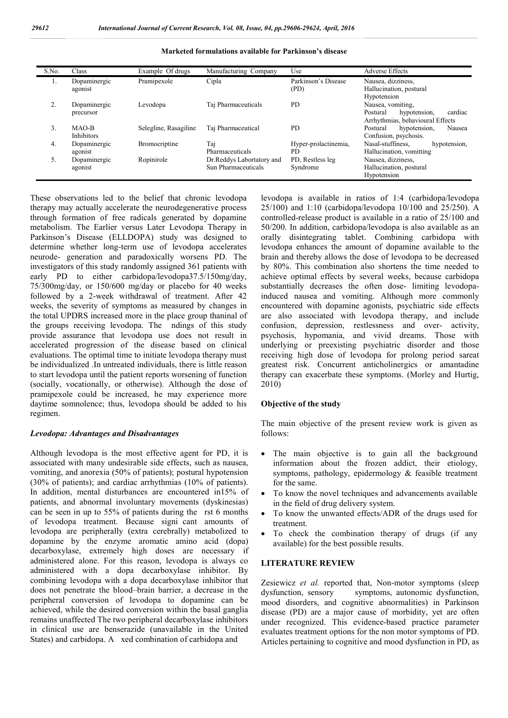| S.No. | Class                     | Example Of drugs      | Manufacturing Company                            | Use                          | <b>Adverse Effects</b>                                                                       |
|-------|---------------------------|-----------------------|--------------------------------------------------|------------------------------|----------------------------------------------------------------------------------------------|
| 1.    | Dopaminergic<br>agonist   | Pramipexole           | Cipla                                            | Parkinson's Disease<br>(PD)  | Nausea, dizziness,<br>Hallucination, postural<br>Hypotension                                 |
|       | Dopaminergic<br>precursor | Levodopa              | Taj Pharmaceuticals                              | PD                           | Nausea, vomiting.<br>cardiac<br>Postural<br>hypotension.<br>Arrhythmias, behavioural Effects |
| 3.    | MAO-B<br>Inhibitors       | Selegline, Rasagiline | Taj Pharmaceutical                               | PD.                          | Postural<br>hypotension,<br>Nausea<br>Confusion, psychosis.                                  |
| 4.    | Dopaminergic<br>agonist   | <b>Bromocriptine</b>  | Taj<br>Pharmaceuticals                           | Hyper-prolactinemia,<br>PD.  | Nasal-stuffiness.<br>hypotension.<br>Hallucination, vomitting                                |
| 5.    | Dopaminergic<br>agonist   | Ropinirole            | Dr.Reddys Labortatory and<br>Sun Pharmaceuticals | PD, Restless leg<br>Syndrome | Nausea, dizziness,<br>Hallucination, postural<br>Hypotension                                 |

#### **Marketed formulations available for Parkinson's disease**

These observations led to the belief that chronic levodopa therapy may actually accelerate the neurodegenerative process through formation of free radicals generated by dopamine metabolism. The Earlier versus Later Levodopa Therapy in Parkinson's Disease (ELLDOPA) study was designed to determine whether long-term use of levodopa accelerates neurode- generation and paradoxically worsens PD. The investigators of this study randomly assigned 361 patients with early PD to either carbidopa/levodopa37.5/150mg/day, 75/300mg/day, or 150/600 mg/day or placebo for 40 weeks followed by a 2-week withdrawal of treatment. After 42 weeks, the severity of symptoms as measured by changes in the total UPDRS increased more in the place group thaninal of the groups receiving levodopa. The ndings of this study provide assurance that levodopa use does not result in accelerated progression of the disease based on clinical evaluations. The optimal time to initiate levodopa therapy must be individualized .In untreated individuals, there is little reason to start levodopa until the patient reports worsening of function (socially, vocationally, or otherwise). Although the dose of pramipexole could be increased, he may experience more daytime somnolence; thus, levodopa should be added to his regimen.

## *Levodopa: Advantages and Disadvantages*

Although levodopa is the most effective agent for PD, it is associated with many undesirable side effects, such as nausea, vomiting, and anorexia (50% of patients); postural hypotension (30% of patients); and cardiac arrhythmias (10% of patients). In addition, mental disturbances are encountered in15% of patients, and abnormal involuntary movements (dyskinesias) can be seen in up to 55% of patients during the rst 6 months of levodopa treatment. Because signi cant amounts of levodopa are peripherally (extra cerebrally) metabolized to dopamine by the enzyme aromatic amino acid (dopa) decarboxylase, extremely high doses are necessary if administered alone. For this reason, levodopa is always co administered with a dopa decarboxylase inhibitor. By combining levodopa with a dopa decarboxylase inhibitor that does not penetrate the blood–brain barrier, a decrease in the peripheral conversion of levodopa to dopamine can be achieved, while the desired conversion within the basal ganglia remains unaffected The two peripheral decarboxylase inhibitors in clinical use are benserazide (unavailable in the United States) and carbidopa. A xed combination of carbidopa and

levodopa is available in ratios of 1:4 (carbidopa/levodopa 25/100) and 1:10 (carbidopa/levodopa 10/100 and 25/250). A controlled-release product is available in a ratio of 25/100 and 50/200. In addition, carbidopa/levodopa is also available as an orally disintegrating tablet. Combining carbidopa with levodopa enhances the amount of dopamine available to the brain and thereby allows the dose of levodopa to be decreased by 80%. This combination also shortens the time needed to achieve optimal effects by several weeks, because carbidopa substantially decreases the often dose- limiting levodopainduced nausea and vomiting. Although more commonly encountered with dopamine agonists, psychiatric side effects are also associated with levodopa therapy, and include confusion, depression, restlessness and over- activity, psychosis, hypomania, and vivid dreams. Those with underlying or preexisting psychiatric disorder and those receiving high dose of levodopa for prolong period sareat greatest risk. Concurrent anticholinergics or amantadine therapy can exacerbate these symptoms. (Morley and Hurtig, 2010)

#### **Objective of the study**

The main objective of the present review work is given as follows:

- The main objective is to gain all the background information about the frozen addict, their etiology, symptoms, pathology, epidermology & feasible treatment for the same.
- To know the novel techniques and advancements available in the field of drug delivery system.
- To know the unwanted effects/ADR of the drugs used for treatment.
- To check the combination therapy of drugs (if any available) for the best possible results.

# **LITERATURE REVIEW**

Zesiewicz *et al.* reported that, Non-motor symptoms (sleep dysfunction, sensory symptoms, autonomic dysfunction, mood disorders, and cognitive abnormalities) in Parkinson disease (PD) are a major cause of morbidity, yet are often under recognized. This evidence-based practice parameter evaluates treatment options for the non motor symptoms of PD. Articles pertaining to cognitive and mood dysfunction in PD, as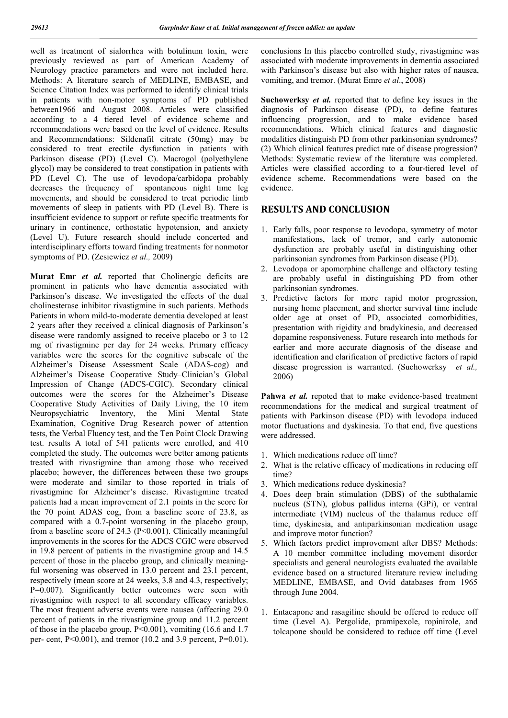well as treatment of sialorrhea with botulinum toxin, were previously reviewed as part of American Academy of Neurology practice parameters and were not included here. Methods: A literature search of MEDLINE, EMBASE, and Science Citation Index was performed to identify clinical trials in patients with non-motor symptoms of PD published between1966 and August 2008. Articles were classified according to a 4 tiered level of evidence scheme and recommendations were based on the level of evidence. Results and Recommendations: Sildenafil citrate (50mg) may be considered to treat erectile dysfunction in patients with Parkinson disease (PD) (Level C). Macrogol (polyethylene glycol) may be considered to treat constipation in patients with PD (Level C). The use of levodopa/carbidopa probably decreases the frequency of spontaneous night time leg movements, and should be considered to treat periodic limb movements of sleep in patients with PD (Level B). There is insufficient evidence to support or refute specific treatments for urinary in continence, orthostatic hypotension, and anxiety (Level U). Future research should include concerted and interdisciplinary efforts toward finding treatments for nonmotor symptoms of PD. (Zesiewicz *et al.,* 2009)

**Murat Emr** *et al.* reported that Cholinergic deficits are prominent in patients who have dementia associated with Parkinson's disease. We investigated the effects of the dual cholinesterase inhibitor rivastigmine in such patients. Methods Patients in whom mild-to-moderate dementia developed at least 2 years after they received a clinical diagnosis of Parkinson's disease were randomly assigned to receive placebo or 3 to 12 mg of rivastigmine per day for 24 weeks. Primary efficacy variables were the scores for the cognitive subscale of the Alzheimer's Disease Assessment Scale (ADAS-cog) and Alzheimer's Disease Cooperative Study–Clinician's Global Impression of Change (ADCS-CGIC). Secondary clinical outcomes were the scores for the Alzheimer's Disease Cooperative Study Activities of Daily Living, the 10 item Neuropsychiatric Inventory, the Mini Mental State Examination, Cognitive Drug Research power of attention tests, the Verbal Fluency test, and the Ten Point Clock Drawing test. results A total of 541 patients were enrolled, and 410 completed the study. The outcomes were better among patients treated with rivastigmine than among those who received placebo; however, the differences between these two groups were moderate and similar to those reported in trials of rivastigmine for Alzheimer's disease. Rivastigmine treated patients had a mean improvement of 2.1 points in the score for the 70 point ADAS cog, from a baseline score of 23.8, as compared with a 0.7-point worsening in the placebo group, from a baseline score of 24.3 (P<0.001). Clinically meaningful improvements in the scores for the ADCS CGIC were observed in 19.8 percent of patients in the rivastigmine group and 14.5 percent of those in the placebo group, and clinically meaningful worsening was observed in 13.0 percent and 23.1 percent, respectively (mean score at 24 weeks, 3.8 and 4.3, respectively; P=0.007). Significantly better outcomes were seen with rivastigmine with respect to all secondary efficacy variables. The most frequent adverse events were nausea (affecting 29.0 percent of patients in the rivastigmine group and 11.2 percent of those in the placebo group, P<0.001), vomiting (16.6 and 1.7 per- cent, P<0.001), and tremor (10.2 and 3.9 percent, P=0.01).

conclusions In this placebo controlled study, rivastigmine was associated with moderate improvements in dementia associated with Parkinson's disease but also with higher rates of nausea, vomiting, and tremor. (Murat Emre *et al*., 2008)

**Suchowerksy** *et al.* reported that to define key issues in the diagnosis of Parkinson disease (PD), to define features influencing progression, and to make evidence based recommendations. Which clinical features and diagnostic modalities distinguish PD from other parkinsonian syndromes? (2) Which clinical features predict rate of disease progression? Methods: Systematic review of the literature was completed. Articles were classified according to a four-tiered level of evidence scheme. Recommendations were based on the evidence.

# **RESULTS AND CONCLUSION**

- 1. Early falls, poor response to levodopa, symmetry of motor manifestations, lack of tremor, and early autonomic dysfunction are probably useful in distinguishing other parkinsonian syndromes from Parkinson disease (PD).
- 2. Levodopa or apomorphine challenge and olfactory testing are probably useful in distinguishing PD from other parkinsonian syndromes.
- 3. Predictive factors for more rapid motor progression, nursing home placement, and shorter survival time include older age at onset of PD, associated comorbidities, presentation with rigidity and bradykinesia, and decreased dopamine responsiveness. Future research into methods for earlier and more accurate diagnosis of the disease and identification and clarification of predictive factors of rapid disease progression is warranted. (Suchowerksy *et al.,*  2006)

Pahwa *et al.* repoted that to make evidence-based treatment recommendations for the medical and surgical treatment of patients with Parkinson disease (PD) with levodopa induced motor fluctuations and dyskinesia. To that end, five questions were addressed.

- 1. Which medications reduce off time?
- 2. What is the relative efficacy of medications in reducing off time?
- 3. Which medications reduce dyskinesia?
- 4. Does deep brain stimulation (DBS) of the subthalamic nucleus (STN), globus pallidus interna (GPi), or ventral intermediate (VIM) nucleus of the thalamus reduce off time, dyskinesia, and antiparkinsonian medication usage and improve motor function?
- 5. Which factors predict improvement after DBS? Methods: A 10 member committee including movement disorder specialists and general neurologists evaluated the available evidence based on a structured literature review including MEDLINE, EMBASE, and Ovid databases from 1965 through June 2004.
- 1. Entacapone and rasagiline should be offered to reduce off time (Level A). Pergolide, pramipexole, ropinirole, and tolcapone should be considered to reduce off time (Level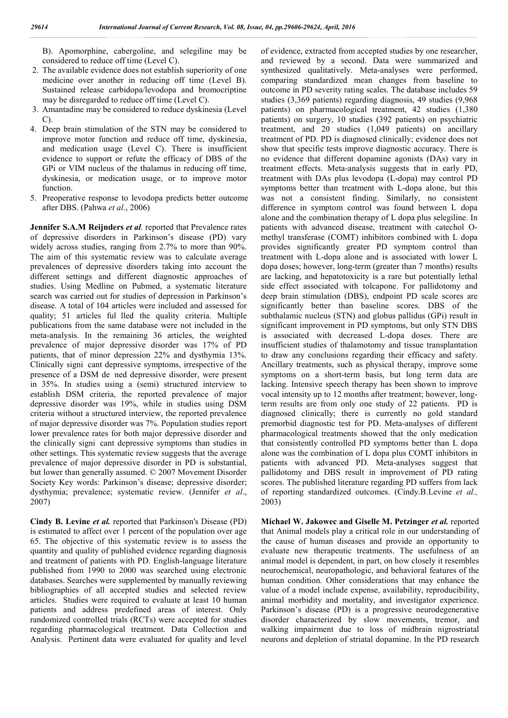B). Apomorphine, cabergoline, and selegiline may be considered to reduce off time (Level C).

- 2. The available evidence does not establish superiority of one medicine over another in reducing off time (Level B). Sustained release carbidopa/levodopa and bromocriptine may be disregarded to reduce off time (Level C).
- 3. Amantadine may be considered to reduce dyskinesia (Level C).
- 4. Deep brain stimulation of the STN may be considered to improve motor function and reduce off time, dyskinesia, and medication usage (Level C). There is insufficient evidence to support or refute the efficacy of DBS of the GPi or VIM nucleus of the thalamus in reducing off time, dyskinesia, or medication usage, or to improve motor function.
- 5. Preoperative response to levodopa predicts better outcome after DBS. (Pahwa *et al*., 2006)

**Jennifer S.A.M Reijnders** *et al.* reported that Prevalence rates of depressive disorders in Parkinson's disease (PD) vary widely across studies, ranging from 2.7% to more than 90%. The aim of this systematic review was to calculate average prevalences of depressive disorders taking into account the different settings and different diagnostic approaches of studies. Using Medline on Pubmed, a systematic literature search was carried out for studies of depression in Parkinson's disease. A total of 104 articles were included and assessed for quality; 51 articles ful lled the quality criteria. Multiple publications from the same database were not included in the meta-analysis. In the remaining 36 articles, the weighted prevalence of major depressive disorder was 17% of PD patients, that of minor depression 22% and dysthymia 13%. Clinically signi cant depressive symptoms, irrespective of the presence of a DSM de ned depressive disorder, were present in 35%. In studies using a (semi) structured interview to establish DSM criteria, the reported prevalence of major depressive disorder was 19%, while in studies using DSM criteria without a structured interview, the reported prevalence of major depressive disorder was 7%. Population studies report lower prevalence rates for both major depressive disorder and the clinically signi cant depressive symptoms than studies in other settings. This systematic review suggests that the average prevalence of major depressive disorder in PD is substantial, but lower than generally assumed. © 2007 Movement Disorder Society Key words: Parkinson's disease; depressive disorder; dysthymia; prevalence; systematic review. (Jennifer *et al*., 2007)

**Cindy B. Levine** *et al.* reported that Parkinson's Disease (PD) is estimated to affect over 1 percent of the population over age 65. The objective of this systematic review is to assess the quantity and quality of published evidence regarding diagnosis and treatment of patients with PD. English-language literature published from 1990 to 2000 was searched using electronic databases. Searches were supplemented by manually reviewing bibliographies of all accepted studies and selected review articles. Studies were required to evaluate at least 10 human patients and address predefined areas of interest. Only randomized controlled trials (RCTs) were accepted for studies regarding pharmacological treatment. Data Collection and Analysis. Pertinent data were evaluated for quality and level of evidence, extracted from accepted studies by one researcher, and reviewed by a second. Data were summarized and synthesized qualitatively. Meta-analyses were performed, comparing standardized mean changes from baseline to outcome in PD severity rating scales. The database includes 59 studies (3,369 patients) regarding diagnosis, 49 studies (9,968 patients) on pharmacological treatment, 42 studies (1,380 patients) on surgery, 10 studies (392 patients) on psychiatric treatment, and 20 studies (1,049 patients) on ancillary treatment of PD. PD is diagnosed clinically; evidence does not show that specific tests improve diagnostic accuracy. There is no evidence that different dopamine agonists (DAs) vary in treatment effects. Meta-analysis suggests that in early PD, treatment with DAs plus levodopa (L-dopa) may control PD symptoms better than treatment with L-dopa alone, but this was not a consistent finding. Similarly, no consistent difference in symptom control was found between L dopa alone and the combination therapy of L dopa plus selegiline. In patients with advanced disease, treatment with catechol Omethyl transferase (COMT) inhibitors combined with L dopa provides significantly greater PD symptom control than treatment with L-dopa alone and is associated with lower L dopa doses; however, long-term (greater than 7 months) results are lacking, and hepatotoxicity is a rare but potentially lethal side effect associated with tolcapone. For pallidotomy and deep brain stimulation (DBS), endpoint PD scale scores are significantly better than baseline scores. DBS of the subthalamic nucleus (STN) and globus pallidus (GPi) result in significant improvement in PD symptoms, but only STN DBS is associated with decreased L-dopa doses. There are insufficient studies of thalamotomy and tissue transplantation to draw any conclusions regarding their efficacy and safety. Ancillary treatments, such as physical therapy, improve some symptoms on a short-term basis, but long term data are lacking. Intensive speech therapy has been shown to improve vocal intensity up to 12 months after treatment; however, longterm results are from only one study of 22 patients. PD is diagnosed clinically; there is currently no gold standard premorbid diagnostic test for PD. Meta-analyses of different pharmacological treatments showed that the only medication that consistently controlled PD symptoms better than L dopa alone was the combination of L dopa plus COMT inhibitors in patients with advanced PD. Meta-analyses suggest that pallidotomy and DBS result in improvement of PD rating scores. The published literature regarding PD suffers from lack of reporting standardized outcomes. (Cindy.B.Levine *et al.,* 2003)

**Michael W. Jakowec and Giselle M. Petzinger** *et al.* reported that Animal models play a critical role in our understanding of the cause of human diseases and provide an opportunity to evaluate new therapeutic treatments. The usefulness of an animal model is dependent, in part, on how closely it resembles neurochemical, neuropathologic, and behavioral features of the human condition. Other considerations that may enhance the value of a model include expense, availability, reproducibility, animal morbidity and mortality, and investigator experience. Parkinson's disease (PD) is a progressive neurodegenerative disorder characterized by slow movements, tremor, and walking impairment due to loss of midbrain nigrostriatal neurons and depletion of striatal dopamine. In the PD research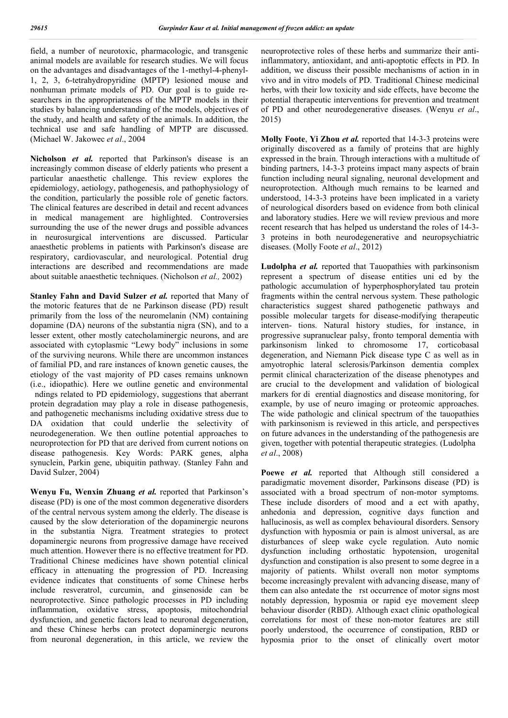field, a number of neurotoxic, pharmacologic, and transgenic animal models are available for research studies. We will focus on the advantages and disadvantages of the 1-methyl-4-phenyl-1, 2, 3, 6-tetrahydropyridine (MPTP) lesioned mouse and nonhuman primate models of PD. Our goal is to guide researchers in the appropriateness of the MPTP models in their studies by balancing understanding of the models, objectives of the study, and health and safety of the animals. In addition, the technical use and safe handling of MPTP are discussed. (Michael W. Jakowec *et al*., 2004

**Nicholson** *et al.* reported that Parkinson's disease is an increasingly common disease of elderly patients who present a particular anaesthetic challenge. This review explores the epidemiology, aetiology, pathogenesis, and pathophysiology of the condition, particularly the possible role of genetic factors. The clinical features are described in detail and recent advances in medical management are highlighted. Controversies surrounding the use of the newer drugs and possible advances in neurosurgical interventions are discussed. Particular anaesthetic problems in patients with Parkinson's disease are respiratory, cardiovascular, and neurological. Potential drug interactions are described and recommendations are made about suitable anaesthetic techniques. (Nicholson *et al.,* 2002)

**Stanley Fahn and David Sulzer** *et al.* reported that Many of the motoric features that de ne Parkinson disease (PD) result primarily from the loss of the neuromelanin (NM) containing dopamine (DA) neurons of the substantia nigra (SN), and to a lesser extent, other mostly catecholaminergic neurons, and are associated with cytoplasmic "Lewy body" inclusions in some of the surviving neurons. While there are uncommon instances of familial PD, and rare instances of known genetic causes, the etiology of the vast majority of PD cases remains unknown (i.e., idiopathic). Here we outline genetic and environmental ndings related to PD epidemiology, suggestions that aberrant protein degradation may play a role in disease pathogenesis, and pathogenetic mechanisms including oxidative stress due to DA oxidation that could underlie the selectivity of neurodegeneration. We then outline potential approaches to neuroprotection for PD that are derived from current notions on disease pathogenesis. Key Words: PARK genes, alpha synuclein, Parkin gene, ubiquitin pathway. (Stanley Fahn and David Sulzer, 2004)

**Wenyu Fu, Wenxin Zhuang** *et al.* reported that Parkinson's disease (PD) is one of the most common degenerative disorders of the central nervous system among the elderly. The disease is caused by the slow deterioration of the dopaminergic neurons in the substantia Nigra. Treatment strategies to protect dopaminergic neurons from progressive damage have received much attention. However there is no effective treatment for PD. Traditional Chinese medicines have shown potential clinical efficacy in attenuating the progression of PD. Increasing evidence indicates that constituents of some Chinese herbs include resveratrol, curcumin, and ginsenoside can be neuroprotective. Since pathologic processes in PD including inflammation, oxidative stress, apoptosis, mitochondrial dysfunction, and genetic factors lead to neuronal degeneration, and these Chinese herbs can protect dopaminergic neurons from neuronal degeneration, in this article, we review the

neuroprotective roles of these herbs and summarize their antiinflammatory, antioxidant, and anti-apoptotic effects in PD. In addition, we discuss their possible mechanisms of action in in vivo and in vitro models of PD. Traditional Chinese medicinal herbs, with their low toxicity and side effects, have become the potential therapeutic interventions for prevention and treatment of PD and other neurodegenerative diseases. (Wenyu *et al*., 2015)

**Molly Foote**, **Yi Zhou** *et al.* reported that 14-3-3 proteins were originally discovered as a family of proteins that are highly expressed in the brain. Through interactions with a multitude of binding partners, 14-3-3 proteins impact many aspects of brain function including neural signaling, neuronal development and neuroprotection. Although much remains to be learned and understood, 14-3-3 proteins have been implicated in a variety of neurological disorders based on evidence from both clinical and laboratory studies. Here we will review previous and more recent research that has helped us understand the roles of 14-3- 3 proteins in both neurodegenerative and neuropsychiatric diseases. (Molly Foote *et al*., 2012)

**Ludolpha** *et al.* reported that Tauopathies with parkinsonism represent a spectrum of disease entities uni ed by the pathologic accumulation of hyperphosphorylated tau protein fragments within the central nervous system. These pathologic characteristics suggest shared pathogenetic pathways and possible molecular targets for disease-modifying therapeutic interven- tions. Natural history studies, for instance, in progressive supranuclear palsy, fronto temporal dementia with parkinsonism linked to chromosome 17, corticobasal degeneration, and Niemann Pick disease type C as well as in amyotrophic lateral sclerosis/Parkinson dementia complex permit clinical characterization of the disease phenotypes and are crucial to the development and validation of biological markers for di erential diagnostics and disease monitoring, for example, by use of neuro imaging or proteomic approaches. The wide pathologic and clinical spectrum of the tauopathies with parkinsonism is reviewed in this article, and perspectives on future advances in the understanding of the pathogenesis are given, together with potential therapeutic strategies. (Ludolpha *et al*., 2008)

**Poewe** *et al.* reported that Although still considered a paradigmatic movement disorder, Parkinsons disease (PD) is associated with a broad spectrum of non-motor symptoms. These include disorders of mood and a ect with apathy, anhedonia and depression, cognitive days function and hallucinosis, as well as complex behavioural disorders. Sensory dysfunction with hyposmia or pain is almost universal, as are disturbances of sleep wake cycle regulation. Auto nomic dysfunction including orthostatic hypotension, urogenital dysfunction and constipation is also present to some degree in a majority of patients. Whilst overall non motor symptoms become increasingly prevalent with advancing disease, many of them can also antedate the rst occurrence of motor signs most notably depression, hyposmia or rapid eye movement sleep behaviour disorder (RBD). Although exact clinic opathological correlations for most of these non-motor features are still poorly understood, the occurrence of constipation, RBD or hyposmia prior to the onset of clinically overt motor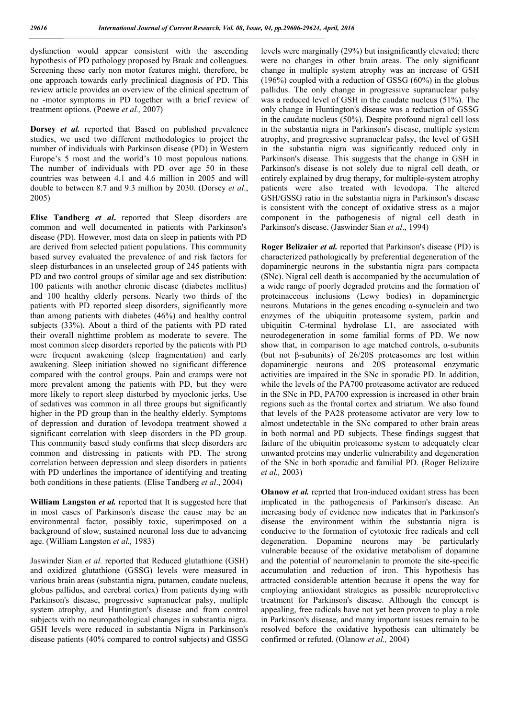dysfunction would appear consistent with the ascending hypothesis of PD pathology proposed by Braak and colleagues. Screening these early non motor features might, therefore, be one approach towards early preclinical diagnosis of PD. This review article provides an overview of the clinical spectrum of no -motor symptoms in PD together with a brief review of treatment options. (Poewe *et al.,* 2007)

**Dorsey** *et al.* reported that Based on published prevalence studies, we used two different methodologies to project the number of individuals with Parkinson disease (PD) in Western Europe's 5 most and the world's 10 most populous nations. The number of individuals with PD over age 50 in these countries was between 4.1 and 4.6 million in 2005 and will double to between 8.7 and 9.3 million by 2030. (Dorsey *et al*., 2005)

**Elise Tandberg** *et al***.** reported that Sleep disorders are common and well documented in patients with Parkinson's disease (PD). However, most data on sleep in patients with PD are derived from selected patient populations. This community based survey evaluated the prevalence of and risk factors for sleep disturbances in an unselected group of 245 patients with PD and two control groups of similar age and sex distribution: 100 patients with another chronic disease (diabetes mellitus) and 100 healthy elderly persons. Nearly two thirds of the patients with PD reported sleep disorders, significantly more than among patients with diabetes (46%) and healthy control subjects (33%). About a third of the patients with PD rated their overall nighttime problem as moderate to severe. The most common sleep disorders reported by the patients with PD were frequent awakening (sleep fragmentation) and early awakening. Sleep initiation showed no significant difference compared with the control groups. Pain and cramps were not more prevalent among the patients with PD, but they were more likely to report sleep disturbed by myoclonic jerks. Use of sedatives was common in all three groups but significantly higher in the PD group than in the healthy elderly. Symptoms of depression and duration of levodopa treatment showed a significant correlation with sleep disorders in the PD group. This community based study confirms that sleep disorders are common and distressing in patients with PD. The strong correlation between depression and sleep disorders in patients with PD underlines the importance of identifying and treating both conditions in these patients. (Elise Tandberg *et al*., 2004)

**William Langston** *et al.* reported that It is suggested here that in most cases of Parkinson's disease the cause may be an environmental factor, possibly toxic, superimposed on a background of slow, sustained neuronal loss due to advancing age. (William Langston *et al.,* 1983)

Jaswinder Sian *et al.* reported that Reduced glutathione (GSH) and oxidized glutathione (GSSG) levels were measured in various brain areas (substantia nigra, putamen, caudate nucleus, globus pallidus, and cerebral cortex) from patients dying with Parkinson's disease, progressive supranuclear palsy, multiple system atrophy, and Huntington's disease and from control subjects with no neuropathological changes in substantia nigra. GSH levels were reduced in substantia Nigra in Parkinson's disease patients (40% compared to control subjects) and GSSG

levels were marginally (29%) but insignificantly elevated; there were no changes in other brain areas. The only significant change in multiple system atrophy was an increase of GSH (196%) coupled with a reduction of GSSG (60%) in the globus pallidus. The only change in progressive supranuclear palsy was a reduced level of GSH in the caudate nucleus (51%). The only change in Huntington's disease was a reduction of GSSG in the caudate nucleus (50%). Despite profound nigral cell loss in the substantia nigra in Parkinson's disease, multiple system atrophy, and progressive supranuclear palsy, the level of GSH in the substantia nigra was significantly reduced only in Parkinson's disease. This suggests that the change in GSH in Parkinson's disease is not solely due to nigral cell death, or entirely explained by drug therapy, for multiple-system atrophy patients were also treated with levodopa. The altered GSH/GSSG ratio in the substantia nigra in Parkinson's disease is consistent with the concept of oxidative stress as a major component in the pathogenesis of nigral cell death in Parkinson's disease. (Jaswinder Sian *et al*., 1994)

**Roger Belizaier** *et al.* reported that Parkinson's disease (PD) is characterized pathologically by preferential degeneration of the dopaminergic neurons in the substantia nigra pars compacta (SNc). Nigral cell death is accompanied by the accumulation of a wide range of poorly degraded proteins and the formation of proteinaceous inclusions (Lewy bodies) in dopaminergic neurons. Mutations in the genes encoding  $α$ -synuclein and two enzymes of the ubiquitin proteasome system, parkin and ubiquitin C-terminal hydrolase L1, are associated with neurodegeneration in some familial forms of PD. We now show that, in comparison to age matched controls,  $\alpha$ -subunits (but not β-subunits) of 26/20S proteasomes are lost within dopaminergic neurons and 20S proteasomal enzymatic activities are impaired in the SNc in sporadic PD. In addition, while the levels of the PA700 proteasome activator are reduced in the SNc in PD, PA700 expression is increased in other brain regions such as the frontal cortex and striatum. We also found that levels of the PA28 proteasome activator are very low to almost undetectable in the SNc compared to other brain areas in both normal and PD subjects. These findings suggest that failure of the ubiquitin proteasome system to adequately clear unwanted proteins may underlie vulnerability and degeneration of the SNc in both sporadic and familial PD. (Roger Belizaire *et al.,* 2003)

**Olanow** *et al.* reprted that Iron-induced oxidant stress has been implicated in the pathogenesis of Parkinson's disease. An increasing body of evidence now indicates that in Parkinson's disease the environment within the substantia nigra is conducive to the formation of cytotoxic free radicals and cell degeneration. Dopamine neurons may be particularly vulnerable because of the oxidative metabolism of dopamine and the potential of neuromelanin to promote the site-specific accumulation and reduction of iron. This hypothesis has attracted considerable attention because it opens the way for employing antioxidant strategies as possible neuroprotective treatment for Parkinson's disease. Although the concept is appealing, free radicals have not yet been proven to play a role in Parkinson's disease, and many important issues remain to be resolved before the oxidative hypothesis can ultimately be confirmed or refuted. (Olanow *et al.,* 2004)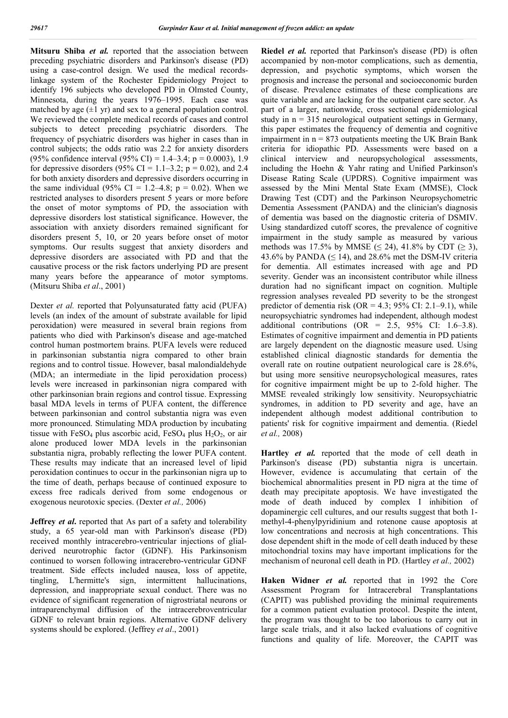**Mitsuru Shiba** *et al.* reported that the association between preceding psychiatric disorders and Parkinson's disease (PD) using a case-control design. We used the medical recordslinkage system of the Rochester Epidemiology Project to identify 196 subjects who developed PD in Olmsted County, Minnesota, during the years 1976–1995. Each case was matched by age  $(\pm 1 \text{ yr})$  and sex to a general population control. We reviewed the complete medical records of cases and control subjects to detect preceding psychiatric disorders. The frequency of psychiatric disorders was higher in cases than in control subjects; the odds ratio was 2.2 for anxiety disorders (95% confidence interval (95% CI) = 1.4–3.4; p = 0.0003), 1.9 for depressive disorders (95% CI = 1.1–3.2;  $p = 0.02$ ), and 2.4 for both anxiety disorders and depressive disorders occurring in the same individual (95% CI = 1.2–4.8;  $p = 0.02$ ). When we restricted analyses to disorders present 5 years or more before the onset of motor symptoms of PD, the association with depressive disorders lost statistical significance. However, the association with anxiety disorders remained significant for disorders present 5, 10, or 20 years before onset of motor symptoms. Our results suggest that anxiety disorders and depressive disorders are associated with PD and that the causative process or the risk factors underlying PD are present many years before the appearance of motor symptoms. (Mitsuru Shiba *et al*., 2001)

Dexter *et al.* reported that Polyunsaturated fatty acid (PUFA) levels (an index of the amount of substrate available for lipid peroxidation) were measured in several brain regions from patients who died with Parkinson's disease and age-matched control human postmortem brains. PUFA levels were reduced in parkinsonian substantia nigra compared to other brain regions and to control tissue. However, basal malondialdehyde (MDA; an intermediate in the lipid peroxidation process) levels were increased in parkinsonian nigra compared with other parkinsonian brain regions and control tissue. Expressing basal MDA levels in terms of PUFA content, the difference between parkinsonian and control substantia nigra was even more pronounced. Stimulating MDA production by incubating tissue with  $FeSO_4$  plus ascorbic acid,  $FeSO_4$  plus  $H_2O_2$ , or air alone produced lower MDA levels in the parkinsonian substantia nigra, probably reflecting the lower PUFA content. These results may indicate that an increased level of lipid peroxidation continues to occur in the parkinsonian nigra up to the time of death, perhaps because of continued exposure to excess free radicals derived from some endogenous or exogenous neurotoxic species. (Dexter *et al.,* 2006)

**Jeffrey** *et al*, reported that As part of a safety and tolerability study, a 65 year-old man with Parkinson's disease (PD) received monthly intracerebro-ventricular injections of glialderived neurotrophic factor (GDNF). His Parkinsonism continued to worsen following intracerebro-ventricular GDNF treatment. Side effects included nausea, loss of appetite, tingling, L'hermitte's sign, intermittent hallucinations, depression, and inappropriate sexual conduct. There was no evidence of significant regeneration of nigrostriatal neurons or intraparenchymal diffusion of the intracerebroventricular GDNF to relevant brain regions. Alternative GDNF delivery systems should be explored. (Jeffrey *et al*., 2001)

**Riedel** *et al.* reported that Parkinson's disease (PD) is often accompanied by non-motor complications, such as dementia, depression, and psychotic symptoms, which worsen the prognosis and increase the personal and socioeconomic burden of disease. Prevalence estimates of these complications are quite variable and are lacking for the outpatient care sector. As part of a larger, nationwide, cross sectional epidemiological study in  $n = 315$  neurological outpatient settings in Germany, this paper estimates the frequency of dementia and cognitive impairment in  $n = 873$  outpatients meeting the UK Brain Bank criteria for idiopathic PD. Assessments were based on a clinical interview and neuropsychological assessments, including the Hoehn & Yahr rating and Unified Parkinson's Disease Rating Scale (UPDRS). Cognitive impairment was assessed by the Mini Mental State Exam (MMSE), Clock Drawing Test (CDT) and the Parkinson Neuropsychometric Dementia Assessment (PANDA) and the clinician's diagnosis of dementia was based on the diagnostic criteria of DSMIV. Using standardized cutoff scores, the prevalence of cognitive impairment in the study sample as measured by various methods was 17.5% by MMSE ( $\leq$  24), 41.8% by CDT ( $\geq$  3), 43.6% by PANDA ( $\leq$  14), and 28.6% met the DSM-IV criteria for dementia. All estimates increased with age and PD severity. Gender was an inconsistent contributor while illness duration had no significant impact on cognition. Multiple regression analyses revealed PD severity to be the strongest predictor of dementia risk (OR =  $4.3$ ;  $95\%$  CI: 2.1–9.1), while neuropsychiatric syndromes had independent, although modest additional contributions (OR =  $2.5$ , 95% CI: 1.6–3.8). Estimates of cognitive impairment and dementia in PD patients are largely dependent on the diagnostic measure used. Using established clinical diagnostic standards for dementia the overall rate on routine outpatient neurological care is 28.6%, but using more sensitive neuropsychological measures, rates for cognitive impairment might be up to 2-fold higher. The MMSE revealed strikingly low sensitivity. Neuropsychiatric syndromes, in addition to PD severity and age, have an independent although modest additional contribution to patients' risk for cognitive impairment and dementia. (Riedel *et al.,* 2008)

**Hartley** *et al.* reported that the mode of cell death in Parkinson's disease (PD) substantia nigra is uncertain. However, evidence is accumulating that certain of the biochemical abnormalities present in PD nigra at the time of death may precipitate apoptosis. We have investigated the mode of death induced by complex I inhibition of dopaminergic cell cultures, and our results suggest that both 1 methyl-4-phenylpyridinium and rotenone cause apoptosis at low concentrations and necrosis at high concentrations. This dose dependent shift in the mode of cell death induced by these mitochondrial toxins may have important implications for the mechanism of neuronal cell death in PD. (Hartley *et al.,* 2002)

**Haken Widner** *et al.* reported that in 1992 the Core Assessment Program for Intracerebral Transplantations (CAPIT) was published providing the minimal requirements for a common patient evaluation protocol. Despite the intent, the program was thought to be too laborious to carry out in large scale trials, and it also lacked evaluations of cognitive functions and quality of life. Moreover, the CAPIT was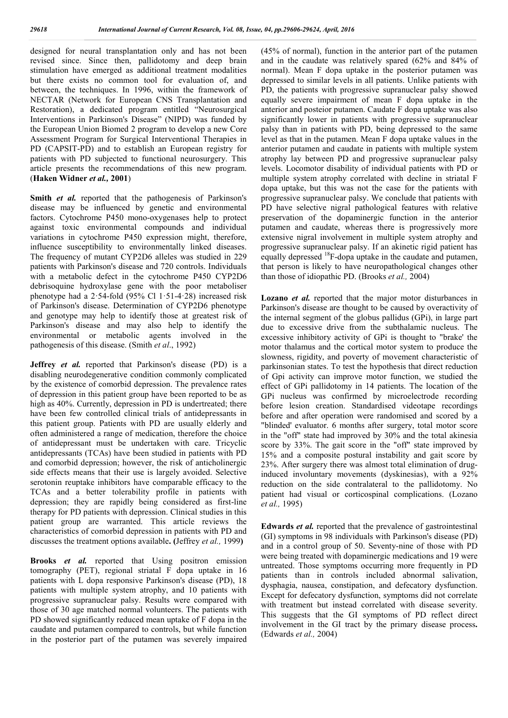designed for neural transplantation only and has not been revised since. Since then, pallidotomy and deep brain stimulation have emerged as additional treatment modalities but there exists no common tool for evaluation of, and between, the techniques. In 1996, within the framework of NECTAR (Network for European CNS Transplantation and Restoration), a dedicated program entitled "Neurosurgical Interventions in Parkinson's Disease" (NIPD) was funded by the European Union Biomed 2 program to develop a new Core Assessment Program for Surgical Interventional Therapies in PD (CAPSIT-PD) and to establish an European registry for patients with PD subjected to functional neurosurgery. This article presents the recommendations of this new program. (**Haken Widner** *et al.,* **2001**)

**Smith** *et al.* reported that the pathogenesis of Parkinson's disease may be influenced by genetic and environmental factors. Cytochrome P450 mono-oxygenases help to protect against toxic environmental compounds and individual variations in cytochrome P450 expression might, therefore, influence susceptibility to environmentally linked diseases. The frequency of mutant CYP2D6 alleles was studied in 229 patients with Parkinson's disease and 720 controls. Individuals with a metabolic defect in the cytochrome P450 CYP2D6 debrisoquine hydroxylase gene with the poor metaboliser phenotype had a  $2.54$ -fold (95% Cl  $1.51$ -4.28) increased risk of Parkinson's disease. Determination of CYP2D6 phenotype and genotype may help to identify those at greatest risk of Parkinson's disease and may also help to identify the environmental or metabolic agents involved in the pathogenesis of this disease. (Smith *et al*., 1992)

**Jeffrey** *et al.* reported that Parkinson's disease (PD) is a disabling neurodegenerative condition commonly complicated by the existence of comorbid depression. The prevalence rates of depression in this patient group have been reported to be as high as 40%. Currently, depression in PD is undertreated; there have been few controlled clinical trials of antidepressants in this patient group. Patients with PD are usually elderly and often administered a range of medication, therefore the choice of antidepressant must be undertaken with care. Tricyclic antidepressants (TCAs) have been studied in patients with PD and comorbid depression; however, the risk of anticholinergic side effects means that their use is largely avoided. Selective serotonin reuptake inhibitors have comparable efficacy to the TCAs and a better tolerability profile in patients with depression; they are rapidly being considered as first-line therapy for PD patients with depression. Clinical studies in this patient group are warranted. This article reviews the characteristics of comorbid depression in patients with PD and discusses the treatment options available**. (**Jeffrey *et al.,* 1999**)**

**Brooks** *et al.* reported that Using positron emission tomography (PET), regional striatal F dopa uptake in 16 patients with L dopa responsive Parkinson's disease (PD), 18 patients with multiple system atrophy, and 10 patients with progressive supranuclear palsy. Results were compared with those of 30 age matched normal volunteers. The patients with PD showed significantly reduced mean uptake of F dopa in the caudate and putamen compared to controls, but while function in the posterior part of the putamen was severely impaired (45% of normal), function in the anterior part of the putamen and in the caudate was relatively spared (62% and 84% of normal). Mean F dopa uptake in the posterior putamen was depressed to similar levels in all patients. Unlike patients with PD, the patients with progressive supranuclear palsy showed equally severe impairment of mean F dopa uptake in the anterior and posteior putamen. Caudate F dopa uptake was also significantly lower in patients with progressive supranuclear palsy than in patients with PD, being depressed to the same level as that in the putamen. Mean F dopa uptake values in the anterior putamen and caudate in patients with multiple system atrophy lay between PD and progressive supranuclear palsy levels. Locomotor disability of individual patients with PD or multiple system atrophy correlated with decline in striatal F dopa uptake, but this was not the case for the patients with progressive supranuclear palsy. We conclude that patients with PD have selective nigral pathological features with relative preservation of the dopaminergic function in the anterior putamen and caudate, whereas there is progressively more extensive nigral involvement in multiple system atrophy and progressive supranuclear palsy. If an akinetic rigid patient has equally depressed 18F-dopa uptake in the caudate and putamen, that person is likely to have neuropathological changes other than those of idiopathic PD. (Brooks *et al.,* 2004)

**Lozano** *et al.* reported that the major motor disturbances in Parkinson's disease are thought to be caused by overactivity of the internal segment of the globus pallidus (GPi), in large part due to excessive drive from the subthalamic nucleus. The excessive inhibitory activity of GPi is thought to "brake' the motor thalamus and the cortical motor system to produce the slowness, rigidity, and poverty of movement characteristic of parkinsonian states. To test the hypothesis that direct reduction of Gpi activity can improve motor function, we studied the effect of GPi pallidotomy in 14 patients. The location of the GPi nucleus was confirmed by microelectrode recording before lesion creation. Standardised videotape recordings before and after operation were randomised and scored by a "blinded' evaluator. 6 months after surgery, total motor score in the "off" state had improved by 30% and the total akinesia score by 33%. The gait score in the "off" state improved by 15% and a composite postural instability and gait score by 23%. After surgery there was almost total elimination of druginduced involuntary movements (dyskinesias), with a 92% reduction on the side contralateral to the pallidotomy. No patient had visual or corticospinal complications. (Lozano *et al.,* 1995)

**Edwards** *et al.* reported that the prevalence of gastrointestinal (GI) symptoms in 98 individuals with Parkinson's disease (PD) and in a control group of 50. Seventy-nine of those with PD were being treated with dopaminergic medications and 19 were untreated. Those symptoms occurring more frequently in PD patients than in controls included abnormal salivation, dysphagia, nausea, constipation, and defecatory dysfunction. Except for defecatory dysfunction, symptoms did not correlate with treatment but instead correlated with disease severity. This suggests that the GI symptoms of PD reflect direct involvement in the GI tract by the primary disease process**.**  (Edwards *et al.,* 2004)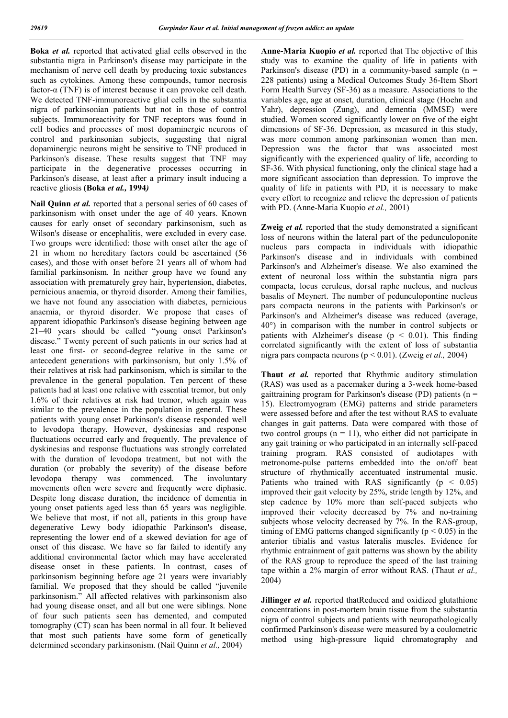**Boka** *et al.* reported that activated glial cells observed in the substantia nigra in Parkinson's disease may participate in the mechanism of nerve cell death by producing toxic substances such as cytokines. Among these compounds, tumor necrosis factor-α (TNF) is of interest because it can provoke cell death. We detected TNF-immunoreactive glial cells in the substantia nigra of parkinsonian patients but not in those of control subjects. Immunoreactivity for TNF receptors was found in cell bodies and processes of most dopaminergic neurons of control and parkinsonian subjects, suggesting that nigral dopaminergic neurons might be sensitive to TNF produced in Parkinson's disease. These results suggest that TNF may participate in the degenerative processes occurring in Parkinson's disease, at least after a primary insult inducing a reactive gliosis **(Boka** *et al.,* **1994***)*

**Nail Quinn** *et al.* reported that a personal series of 60 cases of parkinsonism with onset under the age of 40 years. Known causes for early onset of secondary parkinsonism, such as Wilson's disease or encephalitis, were excluded in every case. Two groups were identified: those with onset after the age of 21 in whom no hereditary factors could be ascertained (56 cases), and those with onset before 21 years all of whom had familial parkinsonism. In neither group have we found any association with prematurely grey hair, hypertension, diabetes, pernicious anaemia, or thyroid disorder. Among their families, we have not found any association with diabetes, pernicious anaemia, or thyroid disorder. We propose that cases of apparent idiopathic Parkinson's disease begining between age 21–40 years should be called "young onset Parkinson's disease." Twenty percent of such patients in our series had at least one first- or second-degree relative in the same or antecedent generations with parkinsonism, but only 1.5% of their relatives at risk had parkinsonism, which is similar to the prevalence in the general population. Ten percent of these patients had at least one relative with essential tremor, but only 1.6% of their relatives at risk had tremor, which again was similar to the prevalence in the population in general. These patients with young onset Parkinson's disease responded well to levodopa therapy. However, dyskinesias and response fluctuations occurred early and frequently. The prevalence of dyskinesias and response fluctuations was strongly correlated with the duration of levodopa treatment, but not with the duration (or probably the severity) of the disease before levodopa therapy was commenced. The involuntary movements often were severe and frequently were diphasic. Despite long disease duration, the incidence of dementia in young onset patients aged less than 65 years was negligible. We believe that most, if not all, patients in this group have degenerative Lewy body idiopathic Parkinson's disease, representing the lower end of a skewed deviation for age of onset of this disease. We have so far failed to identify any additional environmental factor which may have accelerated disease onset in these patients. In contrast, cases of parkinsonism beginning before age 21 years were invariably familial. We proposed that they should be called "juvenile parkinsonism." All affected relatives with parkinsonism also had young disease onset, and all but one were siblings. None of four such patients seen has demented, and computed tomography (CT) scan has been normal in all four. It believed that most such patients have some form of genetically determined secondary parkinsonism. (Nail Quinn *et al.,* 2004)

**Anne-Maria Kuopio** *et al.* reported that The objective of this study was to examine the quality of life in patients with Parkinson's disease (PD) in a community-based sample  $(n =$ 228 patients) using a Medical Outcomes Study 36-Item Short Form Health Survey (SF-36) as a measure. Associations to the variables age, age at onset, duration, clinical stage (Hoehn and Yahr), depression (Zung), and dementia (MMSE) were studied. Women scored significantly lower on five of the eight dimensions of SF-36. Depression, as measured in this study, was more common among parkinsonian women than men. Depression was the factor that was associated most significantly with the experienced quality of life, according to SF-36. With physical functioning, only the clinical stage had a more significant association than depression. To improve the quality of life in patients with PD, it is necessary to make every effort to recognize and relieve the depression of patients with PD. (Anne-Maria Kuopio *et al.,* 2001)

**Zweig** *et al.* reported that the study demonstrated a significant loss of neurons within the lateral part of the pedunculoponite nucleus pars compacta in individuals with idiopathic Parkinson's disease and in individuals with combined Parkinson's and Alzheimer's disease. We also examined the extent of neuronal loss within the substantia nigra pars compacta, locus ceruleus, dorsal raphe nucleus, and nucleus basalis of Meynert. The number of pedunculopontine nucleus pars compacta neurons in the patients with Parkinson's or Parkinson's and Alzheimer's disease was reduced (average, 40°) in comparison with the number in control subjects or patients with Alzheimer's disease ( $p \le 0.01$ ). This finding correlated significantly with the extent of loss of substantia nigra pars compacta neurons (p < 0.01). (Zweig *et al.,* 2004)

**Thaut** *et al.* reported that Rhythmic auditory stimulation (RAS) was used as a pacemaker during a 3-week home-based gaittraining program for Parkinson's disease (PD) patients ( $n =$ 15). Electromyogram (EMG) patterns and stride parameters were assessed before and after the test without RAS to evaluate changes in gait patterns. Data were compared with those of two control groups  $(n = 11)$ , who either did not participate in any gait training or who participated in an internally self-paced training program. RAS consisted of audiotapes with metronome-pulse patterns embedded into the on/off beat structure of rhythmically accentuated instrumental music. Patients who trained with RAS significantly  $(p < 0.05)$ improved their gait velocity by 25%, stride length by 12%, and step cadence by 10% more than self-paced subjects who improved their velocity decreased by 7% and no-training subjects whose velocity decreased by 7%. In the RAS-group, timing of EMG patterns changed significantly ( $p \le 0.05$ ) in the anterior tibialis and vastus lateralis muscles. Evidence for rhythmic entrainment of gait patterns was shown by the ability of the RAS group to reproduce the speed of the last training tape within a 2% margin of error without RAS. (Thaut *et al.,*  2004)

**Jillinger** *et al.* reported thatReduced and oxidized glutathione concentrations in post-mortem brain tissue from the substantia nigra of control subjects and patients with neuropathologically confirmed Parkinson's disease were measured by a coulometric method using high-pressure liquid chromatography and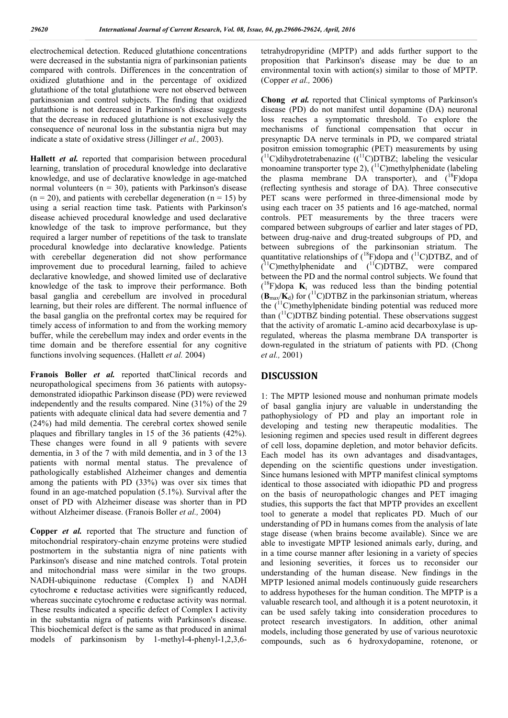electrochemical detection. Reduced glutathione concentrations were decreased in the substantia nigra of parkinsonian patients compared with controls. Differences in the concentration of oxidized glutathione and in the percentage of oxidized glutathione of the total glutathione were not observed between parkinsonian and control subjects. The finding that oxidized glutathione is not decreased in Parkinson's disease suggests that the decrease in reduced glutathione is not exclusively the consequence of neuronal loss in the substantia nigra but may indicate a state of oxidative stress (Jillinger *et al.,* 2003).

**Hallett** *et al.* reported that comparision between procedural learning, translation of procedural knowledge into declarative knowledge, and use of declarative knowledge in age-matched normal volunteers ( $n = 30$ ), patients with Parkinson's disease  $(n = 20)$ , and patients with cerebellar degeneration  $(n = 15)$  by using a serial reaction time task. Patients with Parkinson's disease achieved procedural knowledge and used declarative knowledge of the task to improve performance, but they required a larger number of repetitions of the task to translate procedural knowledge into declarative knowledge. Patients with cerebellar degeneration did not show performance improvement due to procedural learning, failed to achieve declarative knowledge, and showed limited use of declarative knowledge of the task to improve their performance. Both basal ganglia and cerebellum are involved in procedural learning, but their roles are different. The normal influence of the basal ganglia on the prefrontal cortex may be required for timely access of information to and from the working memory buffer, while the cerebellum may index and order events in the time domain and be therefore essential for any cognitive functions involving sequences. (Hallett *et al.* 2004)

**Franois Boller** *et al.* reported thatClinical records and neuropathological specimens from 36 patients with autopsydemonstrated idiopathic Parkinson disease (PD) were reviewed independently and the results compared. Nine (31%) of the 29 patients with adequate clinical data had severe dementia and 7 (24%) had mild dementia. The cerebral cortex showed senile plaques and fibrillary tangles in 15 of the 36 patients (42%). These changes were found in all 9 patients with severe dementia, in 3 of the 7 with mild dementia, and in 3 of the 13 patients with normal mental status. The prevalence of pathologically established Alzheimer changes and dementia among the patients with PD (33%) was over six times that found in an age-matched population (5.1%). Survival after the onset of PD with Alzheimer disease was shorter than in PD without Alzheimer disease. (Franois Boller *et al.,* 2004)

**Copper** *et al.* reported that The structure and function of mitochondrial respiratory-chain enzyme proteins were studied postmortem in the substantia nigra of nine patients with Parkinson's disease and nine matched controls. Total protein and mitochondrial mass were similar in the two groups. NADH-ubiquinone reductase (Complex I) and NADH cytochrome **c** reductase activities were significantly reduced, whereas succinate cytochrome **c** reductase activity was normal. These results indicated a specific defect of Complex I activity in the substantia nigra of patients with Parkinson's disease. This biochemical defect is the same as that produced in animal models of parkinsonism by 1-methyl-4-phenyl-1,2,3,6tetrahydropyridine (MPTP) and adds further support to the proposition that Parkinson's disease may be due to an environmental toxin with action(s) similar to those of MPTP. (Copper *et al.,* 2006)

**Chong** *et al.* reported that Clinical symptoms of Parkinson's disease (PD) do not manifest until dopamine (DA) neuronal loss reaches a symptomatic threshold. To explore the mechanisms of functional compensation that occur in presynaptic DA nerve terminals in PD, we compared striatal positron emission tomographic (PET) measurements by using  $(^{11}C)$ dihydrotetrabenazine  $((^{11}C)DTBZ$ ; labeling the vesicular monoamine transporter type 2),  $(^{11}C)$ methylphenidate (labeling the plasma membrane DA transporter), and (<sup>18</sup>F)dopa (reflecting synthesis and storage of DA). Three consecutive PET scans were performed in three-dimensional mode by using each tracer on 35 patients and 16 age-matched, normal controls. PET measurements by the three tracers were compared between subgroups of earlier and later stages of PD, between drug-naive and drug-treated subgroups of PD, and between subregions of the parkinsonian striatum. The quantitative relationships of  $(^{18}F)$ dopa and  $(^{11}C)DTBZ$ , and of  $($ <sup>11</sup>C)methylphenidate and  $($ <sup>11</sup>C)DTBZ, were compared between the PD and the normal control subjects. We found that  $($ <sup>18</sup>F)dopa  $\mathbf{K}_i$  was reduced less than the binding potential  $(\mathbf{B}_{\text{max}}/\mathbf{K}_{d})$  for  $({}^{11}C)DTBZ$  in the parkinsonian striatum, whereas the  $(^{11}C)$ methylphenidate binding potential was reduced more than (<sup>11</sup>C)DTBZ binding potential. These observations suggest that the activity of aromatic L-amino acid decarboxylase is upregulated, whereas the plasma membrane DA transporter is down-regulated in the striatum of patients with PD. (Chong *et al.,* 2001)

# **DISCUSSION**

1: The MPTP lesioned mouse and nonhuman primate models of basal ganglia injury are valuable in understanding the pathophysiology of PD and play an important role in developing and testing new therapeutic modalities. The lesioning regimen and species used result in different degrees of cell loss, dopamine depletion, and motor behavior deficits. Each model has its own advantages and disadvantages, depending on the scientific questions under investigation. Since humans lesioned with MPTP manifest clinical symptoms identical to those associated with idiopathic PD and progress on the basis of neuropathologic changes and PET imaging studies, this supports the fact that MPTP provides an excellent tool to generate a model that replicates PD. Much of our understanding of PD in humans comes from the analysis of late stage disease (when brains become available). Since we are able to investigate MPTP lesioned animals early, during, and in a time course manner after lesioning in a variety of species and lesioning severities, it forces us to reconsider our understanding of the human disease. New findings in the MPTP lesioned animal models continuously guide researchers to address hypotheses for the human condition. The MPTP is a valuable research tool, and although it is a potent neurotoxin, it can be used safely taking into consideration procedures to protect research investigators. In addition, other animal models, including those generated by use of various neurotoxic compounds, such as 6 hydroxydopamine, rotenone, or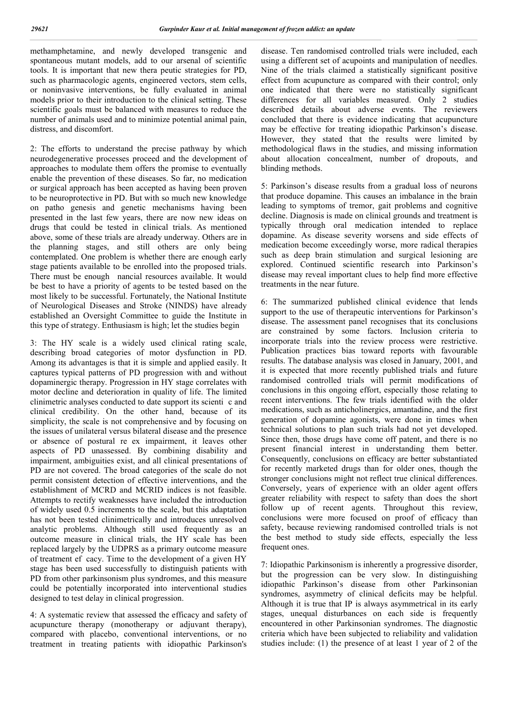methamphetamine, and newly developed transgenic and spontaneous mutant models, add to our arsenal of scientific tools. It is important that new thera peutic strategies for PD, such as pharmacologic agents, engineered vectors, stem cells, or noninvasive interventions, be fully evaluated in animal models prior to their introduction to the clinical setting. These scientific goals must be balanced with measures to reduce the number of animals used and to minimize potential animal pain, distress, and discomfort.

2: The efforts to understand the precise pathway by which neurodegenerative processes proceed and the development of approaches to modulate them offers the promise to eventually enable the prevention of these diseases. So far, no medication or surgical approach has been accepted as having been proven to be neuroprotective in PD. But with so much new knowledge on patho genesis and genetic mechanisms having been presented in the last few years, there are now new ideas on drugs that could be tested in clinical trials. As mentioned above, some of these trials are already underway. Others are in the planning stages, and still others are only being contemplated. One problem is whether there are enough early stage patients available to be enrolled into the proposed trials. There must be enough nancial resources available. It would be best to have a priority of agents to be tested based on the most likely to be successful. Fortunately, the National Institute of Neurological Diseases and Stroke (NINDS) have already established an Oversight Committee to guide the Institute in this type of strategy. Enthusiasm is high; let the studies begin

3: The HY scale is a widely used clinical rating scale, describing broad categories of motor dysfunction in PD. Among its advantages is that it is simple and applied easily. It captures typical patterns of PD progression with and without dopaminergic therapy. Progression in HY stage correlates with motor decline and deterioration in quality of life. The limited clinimetric analyses conducted to date support its scienti c and clinical credibility. On the other hand, because of its simplicity, the scale is not comprehensive and by focusing on the issues of unilateral versus bilateral disease and the presence or absence of postural re ex impairment, it leaves other aspects of PD unassessed. By combining disability and impairment, ambiguities exist, and all clinical presentations of PD are not covered. The broad categories of the scale do not permit consistent detection of effective interventions, and the establishment of MCRD and MCRID indices is not feasible. Attempts to rectify weaknesses have included the introduction of widely used 0.5 increments to the scale, but this adaptation has not been tested clinimetrically and introduces unresolved analytic problems. Although still used frequently as an outcome measure in clinical trials, the HY scale has been replaced largely by the UDPRS as a primary outcome measure of treatment ef cacy. Time to the development of a given HY stage has been used successfully to distinguish patients with PD from other parkinsonism plus syndromes, and this measure could be potentially incorporated into interventional studies designed to test delay in clinical progression.

4: A systematic review that assessed the efficacy and safety of acupuncture therapy (monotherapy or adjuvant therapy), compared with placebo, conventional interventions, or no treatment in treating patients with idiopathic Parkinson's disease. Ten randomised controlled trials were included, each using a different set of acupoints and manipulation of needles. Nine of the trials claimed a statistically significant positive effect from acupuncture as compared with their control; only one indicated that there were no statistically significant differences for all variables measured. Only 2 studies described details about adverse events. The reviewers concluded that there is evidence indicating that acupuncture may be effective for treating idiopathic Parkinson's disease. However, they stated that the results were limited by methodological flaws in the studies, and missing information about allocation concealment, number of dropouts, and blinding methods.

5: Parkinson's disease results from a gradual loss of neurons that produce dopamine. This causes an imbalance in the brain leading to symptoms of tremor, gait problems and cognitive decline. Diagnosis is made on clinical grounds and treatment is typically through oral medication intended to replace dopamine. As disease severity worsens and side effects of medication become exceedingly worse, more radical therapies such as deep brain stimulation and surgical lesioning are explored. Continued scientific research into Parkinson's disease may reveal important clues to help find more effective treatments in the near future.

6: The summarized published clinical evidence that lends support to the use of therapeutic interventions for Parkinson's disease. The assessment panel recognises that its conclusions are constrained by some factors. Inclusion criteria to incorporate trials into the review process were restrictive. Publication practices bias toward reports with favourable results. The database analysis was closed in January, 2001, and it is expected that more recently published trials and future randomised controlled trials will permit modifications of conclusions in this ongoing effort, especially those relating to recent interventions. The few trials identified with the older medications, such as anticholinergics, amantadine, and the first generation of dopamine agonists, were done in times when technical solutions to plan such trials had not yet developed. Since then, those drugs have come off patent, and there is no present financial interest in understanding them better. Consequently, conclusions on efficacy are better substantiated for recently marketed drugs than for older ones, though the stronger conclusions might not reflect true clinical differences. Conversely, years of experience with an older agent offers greater reliability with respect to safety than does the short follow up of recent agents. Throughout this review, conclusions were more focused on proof of efficacy than safety, because reviewing randomised controlled trials is not the best method to study side effects, especially the less frequent ones.

7: Idiopathic Parkinsonism is inherently a progressive disorder, but the progression can be very slow. In distinguishing idiopathic Parkinson's disease from other Parkinsonian syndromes, asymmetry of clinical deficits may be helpful. Although it is true that IP is always asymmetrical in its early stages, unequal disturbances on each side is frequently encountered in other Parkinsonian syndromes. The diagnostic criteria which have been subjected to reliability and validation studies include: (1) the presence of at least 1 year of 2 of the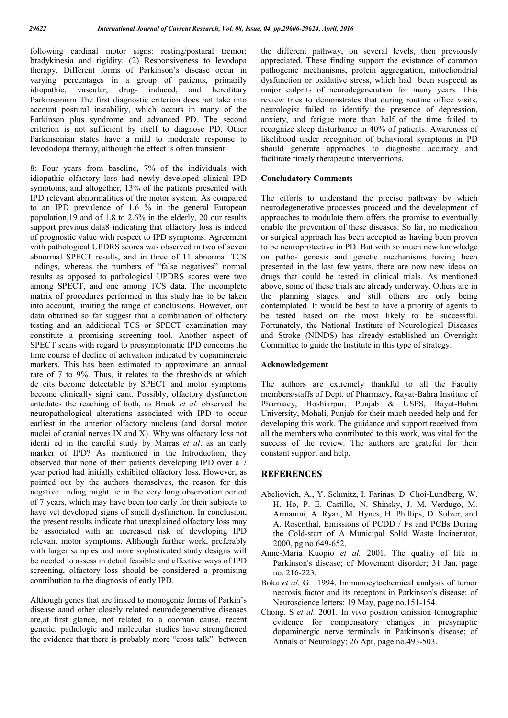following cardinal motor signs: resting/postural tremor; bradykinesia and rigidity. (2) Responsiveness to levodopa therapy. Different forms of Parkinson's disease occur in varying percentages in a group of patients, primarily idiopathic, vascular, drug- induced, and hereditary Parkinsonism The first diagnostic criterion does not take into account postural instability, which occurs in many of the Parkinson plus syndrome and advanced PD. The second criterion is not sufficient by itself to diagnose PD. Other Parkinsonian states have a mild to moderate response to levododopa therapy, although the effect is often transient.

8: Four years from baseline, 7% of the individuals with idiopathic olfactory loss had newly developed clinical IPD symptoms, and altogether, 13% of the patients presented with IPD relevant abnormalities of the motor system. As compared to an IPD prevalence of 1.6 % in the general European population,19 and of 1.8 to 2.6% in the elderly, 20 our results support previous data8 indicating that olfactory loss is indeed of prognostic value with respect to IPD symptoms. Agreement with pathological UPDRS scores was observed in two of seven abnormal SPECT results, and in three of 11 abnormal TCS ndings, whereas the numbers of "false negatives" normal results as opposed to pathological UPDRS scores were two among SPECT, and one among TCS data. The incomplete matrix of procedures performed in this study has to be taken into account, limiting the range of conclusions. However, our data obtained so far suggest that a combination of olfactory testing and an additional TCS or SPECT examination may constitute a promising screening tool. Another aspect of SPECT scans with regard to presymptomatic IPD concerns the time course of decline of activation indicated by dopaminergic markers. This has been estimated to approximate an annual rate of 7 to 9%. Thus, it relates to the thresholds at which de cits become detectable by SPECT and motor symptoms become clinically signi cant. Possibly, olfactory dysfunction antedates the reaching of both, as Braak *et al*. observed the neuropathological alterations associated with IPD to occur earliest in the anterior olfactory nucleus (and dorsal motor nuclei of cranial nerves IX and X). Why was olfactory loss not identi ed in the careful study by Marras *et al*. as an early marker of IPD? As mentioned in the Introduction, they observed that none of their patients developing IPD over a 7 year period had initially exhibited olfactory loss. However, as pointed out by the authors themselves, the reason for this negative nding might lie in the very long observation period of 7 years, which may have been too early for their subjects to have yet developed signs of smell dysfunction. In conclusion, the present results indicate that unexplained olfactory loss may be associated with an increased risk of developing IPD relevant motor symptoms. Although further work, preferably with larger samples and more sophisticated study designs will be needed to assess in detail feasible and effective ways of IPD screening, olfactory loss should be considered a promising contribution to the diagnosis of early IPD.

Although genes that are linked to monogenic forms of Parkin's disease aand other closely related neurodegenerative diseases are,at first glance, not related to a cooman cause, recent genetic, pathologic and molecular studies have strengthened the evidence that there is probably more "cross talk" between the different pathway, on several levels, then previously appreciated. These finding support the existance of common pathogenic mechanisms, protein aggregiation, mitochondrial dysfunction or oxidative stress, which had been suspectd as major culprits of neurodegeneration for many years. This review tries to demonstrates that during routine office visits, neurologist failed to identify the presence of depression, anxiety, and fatigue more than half of the time failed to recognize sleep disturbance in 40% of patients. Awareness of likelihood under recognition of behavioral symptoms in PD should generate approaches to diagnostic accuracy and facilitate timely therapeutic interventions.

#### **Concludatory Comments**

The efforts to understand the precise pathway by which neurodegenerative processes proceed and the development of approaches to modulate them offers the promise to eventually enable the prevention of these diseases. So far, no medication or surgical approach has been accepted as having been proven to be neuroprotective in PD. But with so much new knowledge on patho- genesis and genetic mechanisms having been presented in the last few years, there are now new ideas on drugs that could be tested in clinical trials. As mentioned above, some of these trials are already underway. Others are in the planning stages, and still others are only being contemplated. It would be best to have a priority of agents to be tested based on the most likely to be successful. Fortunately, the National Institute of Neurological Diseases and Stroke (NINDS) has already established an Oversight Committee to guide the Institute in this type of strategy.

#### **Acknowledgement**

The authors are extremely thankful to all the Faculty members/staffs of Dept. of Pharmacy, Rayat-Bahra Institute of Pharmacy, Hoshiarpur, Punjab & USPS, Rayat-Bahra University, Mohali, Punjab for their much needed help and for developing this work. The guidance and support received from all the members who contributed to this work, was vital for the success of the review. The authors are grateful for their constant support and help.

# **REFERENCES**

- Abeliovich, A., Y. Schmitz, I. Farinas, D. Choi-Lundberg, W. H. Ho, P. E. Castillo, N. Shinsky, J. M. Verdugo, M. Armanini, A. Ryan, M. Hynes, H. Phillips, D. Sulzer, and A. Rosenthal, Emissions of PCDD / Fs and PCBs During the Cold-start of A Municipal Solid Waste Incinerator, 2000, pg no.649-652.
- Anne-Maria Kuopio *et al.* 2001. The quality of life in Parkinson's disease; of Movement disorder; 31 Jan, page no. 216-223.
- Boka *et al*. G. 1994. Immunocytochemical analysis of tumor necrosis factor and its receptors in Parkinson's disease; of Neuroscience letters; 19 May, page no.151-154.
- Chong. S *et al.* 2001. In vivo positron emission tomographic evidence for compensatory changes in presynaptic dopaminergic nerve terminals in Parkinson's disease; of Annals of Neurology; 26 Apr, page no.493-503.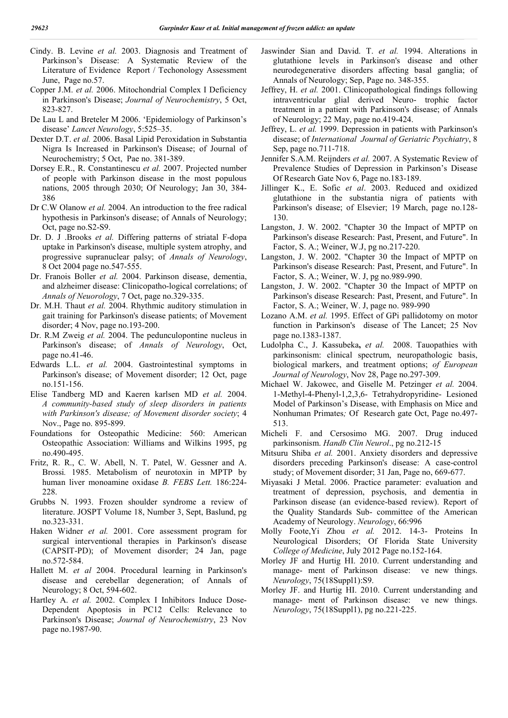- Cindy. B. Levine *et al.* 2003. Diagnosis and Treatment of Parkinson's Disease: A Systematic Review of the Literature of Evidence Report / Techonology Assessment June, Page no.57.
- Copper J.M. *et al.* 2006. Mitochondrial Complex I Deficiency in Parkinson's Disease; *Journal of Neurochemistry*, 5 Oct, 823-827.
- De Lau L and Breteler M 2006. 'Epidemiology of Parkinson's disease' *Lancet Neurology*, 5:525–35.
- Dexter D.T. *et al.* 2006. Basal Lipid Peroxidation in Substantia Nigra Is Increased in Parkinson's Disease; of Journal of Neurochemistry; 5 Oct, Pae no. 381-389.
- Dorsey E.R., R. Constantinescu *et al.* 2007. Projected number of people with Parkinson disease in the most populous nations, 2005 through 2030; Of Neurology; Jan 30, 384- 386
- Dr C.W Olanow *et al.* 2004. An introduction to the free radical hypothesis in Parkinson's disease; of Annals of Neurology; Oct, page no.S2-S9.
- Dr. D. J .Brooks *et al.* Differing patterns of striatal F-dopa uptake in Parkinson's disease, multiple system atrophy, and progressive supranuclear palsy; of *Annals of Neurology*, 8 Oct 2004 page no.547-555.
- Dr. Franois Boller *et al.* 2004. Parkinson disease, dementia, and alzheimer disease: Clinicopatho-logical correlations; of *Annals of Neuorology*, 7 Oct, page no.329-335.
- Dr. M.H. Thaut *et al.* 2004. Rhythmic auditory stimulation in gait training for Parkinson's disease patients; of Movement disorder; 4 Nov, page no.193-200.
- Dr. R.M Zweig *et al.* 2004. The pedunculopontine nucleus in Parkinson's disease; of *Annals of Neurology*, Oct, page no.41-46.
- Edwards L.L. *et al.* 2004. Gastrointestinal symptoms in Parkinson's disease; of Movement disorder; 12 Oct, page no.151-156.
- Elise Tandberg MD and Kaeren karlsen MD *et al.* 2004. *A community-based study of sleep disorders in patients with Parkinson's disease; of Movement disorder society*; 4 Nov., Page no. 895-899.
- Foundations for Osteopathic Medicine: 560: American Osteopathic Association: Williams and Wilkins 1995, pg no.490-495.
- Fritz, R. R., C. W. Abell, N. T. Patel, W. Gessner and A. Brossi*.* 1985. Metabolism of neurotoxin in MPTP by human liver monoamine oxidase *B. FEBS Lett.* 186:224- 228.
- Grubbs N. 1993. Frozen shoulder syndrome a review of literature. JOSPT Volume 18, Number 3, Sept, Baslund, pg no.323-331.
- Haken Widner *et al.* 2001. Core assessment program for surgical interventional therapies in Parkinson's disease (CAPSIT-PD); of Movement disorder; 24 Jan, page no.572-584.
- Hallett M. *et al* 2004. Procedural learning in Parkinson's disease and cerebellar degeneration; of Annals of Neurology; 8 Oct, 594-602.
- Hartley A. *et al.* 2002. Complex I Inhibitors Induce Dose-Dependent Apoptosis in PC12 Cells: Relevance to Parkinson's Disease; *Journal of Neurochemistry*, 23 Nov page no.1987-90.
- Jaswinder Sian and David. T. *et al.* 1994. Alterations in glutathione levels in Parkinson's disease and other neurodegenerative disorders affecting basal ganglia; of Annals of Neurology; Sep, Page no. 348-355.
- Jeffrey, H. *et al.* 2001. Clinicopathological findings following intraventricular glial derived Neuro- trophic factor treatment in a patient with Parkinson's disease; of Annals of Neurology; 22 May, page no.419-424.
- Jeffrey, L. *et al.* 1999. Depression in patients with Parkinson's disease; of *International Journal of Geriatric Psychiatry*, 8 Sep, page no.711-718.
- Jennifer S.A.M. Reijnders *et al.* 2007. A Systematic Review of Prevalence Studies of Depression in Parkinson's Disease Of Research Gate Nov 6, Page no.183-189.
- Jillinger K., E. Sofic *et al*. 2003. Reduced and oxidized glutathione in the substantia nigra of patients with Parkinson's disease; of Elsevier; 19 March, page no.128- 130.
- Langston, J. W. 2002. "Chapter 30 the Impact of MPTP on Parkinson's disease Research: Past, Present, and Future". In Factor, S. A.; Weiner, W.J, pg no.217-220.
- Langston, J. W. 2002. "Chapter 30 the Impact of MPTP on Parkinson's disease Research: Past, Present, and Future". In Factor, S. A.; Weiner, W. J, pg no.989-990.
- Langston, J. W. 2002. "Chapter 30 the Impact of MPTP on Parkinson's disease Research: Past, Present, and Future". In Factor, S. A.; Weiner, W. J, page no. 989-990
- Lozano A.M. *et al.* 1995. Effect of GPi pallidotomy on motor function in Parkinson's disease of The Lancet; 25 Nov page no.1383-1387.
- Ludolpha C., J. Kassubeka**,** *et al.* 2008. Tauopathies with parkinsonism: clinical spectrum, neuropathologic basis, biological markers, and treatment options; *of European Journal of Neurology*, Nov 28, Page no.297-309.
- Michael W. Jakowec, and Giselle M. Petzinger *et al.* 2004. 1-Methyl-4-Phenyl-1,2,3,6- Tetrahydropyridine- Lesioned Model of Parkinson's Disease, with Emphasis on Mice and Nonhuman Primates*;* Of Research gate Oct, Page no.497- 513.
- Micheli F. and Cersosimo MG. 2007. Drug induced parkinsonism. *Handb Clin Neurol*., pg no.212-15
- Mitsuru Shiba *et al.* 2001. Anxiety disorders and depressive disorders preceding Parkinson's disease: A case-control study; of Movement disorder; 31 Jan, Page no, 669-677.
- Miyasaki J Metal. 2006. Practice parameter: evaluation and treatment of depression, psychosis, and dementia in Parkinson disease (an evidence-based review). Report of the Quality Standards Sub- committee of the American Academy of Neurology. *Neurology*, 66:996
- Molly Foote,Yi Zhou *et al.* 2012. 14-3- Proteins In Neurological Disorders; Of Florida State University *College of Medicine*, July 2012 Page no.152-164.
- Morley JF and Hurtig HI. 2010. Current understanding and manage- ment of Parkinson disease: ve new things. *Neurology*, 75(18Suppl1):S9.
- Morley JF. and Hurtig HI. 2010. Current understanding and manage- ment of Parkinson disease: ve new things. *Neurology*, 75(18Suppl1), pg no.221-225.